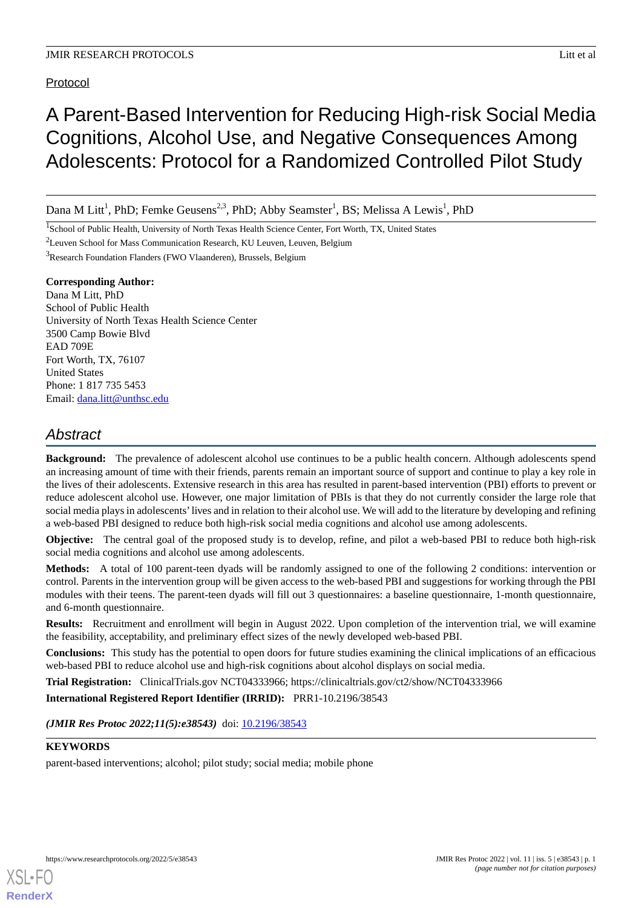# Protocol

# A Parent-Based Intervention for Reducing High-risk Social Media Cognitions, Alcohol Use, and Negative Consequences Among Adolescents: Protocol for a Randomized Controlled Pilot Study

Dana M Litt<sup>1</sup>, PhD; Femke Geusens<sup>2,3</sup>, PhD; Abby Seamster<sup>1</sup>, BS; Melissa A Lewis<sup>1</sup>, PhD

<sup>1</sup>School of Public Health, University of North Texas Health Science Center, Fort Worth, TX, United States

<sup>2</sup>Leuven School for Mass Communication Research, KU Leuven, Leuven, Belgium

<sup>3</sup>Research Foundation Flanders (FWO Vlaanderen), Brussels, Belgium

# **Corresponding Author:**

Dana M Litt, PhD School of Public Health University of North Texas Health Science Center 3500 Camp Bowie Blvd EAD 709E Fort Worth, TX, 76107 United States Phone: 1 817 735 5453 Email: [dana.litt@unthsc.edu](mailto:dana.litt@unthsc.edu)

# *Abstract*

**Background:** The prevalence of adolescent alcohol use continues to be a public health concern. Although adolescents spend an increasing amount of time with their friends, parents remain an important source of support and continue to play a key role in the lives of their adolescents. Extensive research in this area has resulted in parent-based intervention (PBI) efforts to prevent or reduce adolescent alcohol use. However, one major limitation of PBIs is that they do not currently consider the large role that social media plays in adolescents'lives and in relation to their alcohol use. We will add to the literature by developing and refining a web-based PBI designed to reduce both high-risk social media cognitions and alcohol use among adolescents.

**Objective:** The central goal of the proposed study is to develop, refine, and pilot a web-based PBI to reduce both high-risk social media cognitions and alcohol use among adolescents.

**Methods:** A total of 100 parent-teen dyads will be randomly assigned to one of the following 2 conditions: intervention or control. Parents in the intervention group will be given access to the web-based PBI and suggestions for working through the PBI modules with their teens. The parent-teen dyads will fill out 3 questionnaires: a baseline questionnaire, 1-month questionnaire, and 6-month questionnaire.

**Results:** Recruitment and enrollment will begin in August 2022. Upon completion of the intervention trial, we will examine the feasibility, acceptability, and preliminary effect sizes of the newly developed web-based PBI.

**Conclusions:** This study has the potential to open doors for future studies examining the clinical implications of an efficacious web-based PBI to reduce alcohol use and high-risk cognitions about alcohol displays on social media.

**Trial Registration:** ClinicalTrials.gov NCT04333966; https://clinicaltrials.gov/ct2/show/NCT04333966

**International Registered Report Identifier (IRRID):** PRR1-10.2196/38543

(JMIR Res Protoc 2022;11(5):e38543) doi: [10.2196/38543](http://dx.doi.org/10.2196/38543)

# **KEYWORDS**

[XSL](http://www.w3.org/Style/XSL)•FO **[RenderX](http://www.renderx.com/)**

parent-based interventions; alcohol; pilot study; social media; mobile phone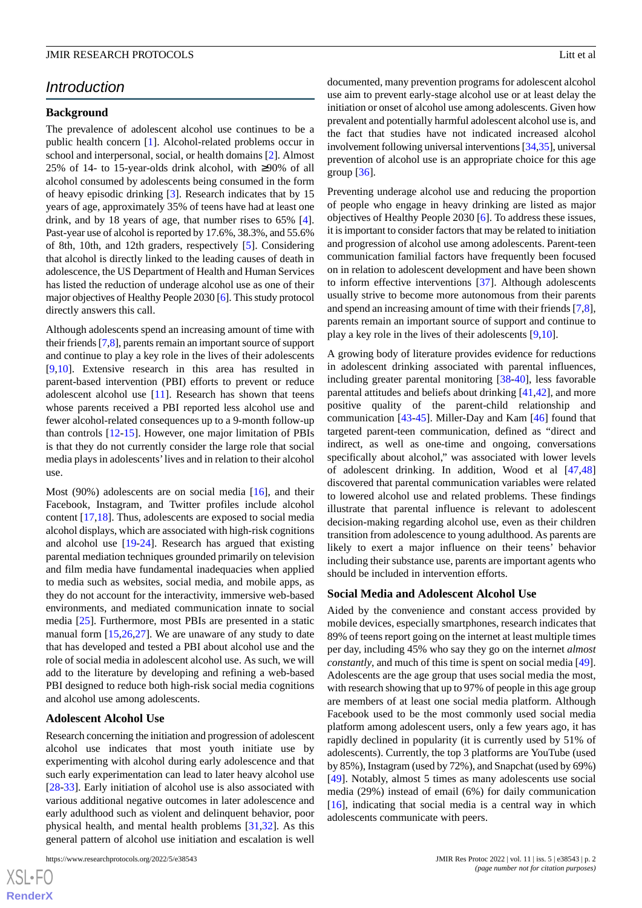# *Introduction*

# **Background**

The prevalence of adolescent alcohol use continues to be a public health concern [\[1](#page-10-0)]. Alcohol-related problems occur in school and interpersonal, social, or health domains [\[2](#page-10-1)]. Almost 25% of 14- to 15-year-olds drink alcohol, with ≥90% of all alcohol consumed by adolescents being consumed in the form of heavy episodic drinking [[3\]](#page-10-2). Research indicates that by 15 years of age, approximately 35% of teens have had at least one drink, and by 18 years of age, that number rises to 65% [[4\]](#page-10-3). Past-year use of alcohol is reported by 17.6%, 38.3%, and 55.6% of 8th, 10th, and 12th graders, respectively [\[5](#page-10-4)]. Considering that alcohol is directly linked to the leading causes of death in adolescence, the US Department of Health and Human Services has listed the reduction of underage alcohol use as one of their major objectives of Healthy People 2030 [\[6](#page-10-5)]. This study protocol directly answers this call.

Although adolescents spend an increasing amount of time with their friends [[7,](#page-10-6)[8\]](#page-10-7), parents remain an important source of support and continue to play a key role in the lives of their adolescents [[9](#page-10-8)[,10](#page-10-9)]. Extensive research in this area has resulted in parent-based intervention (PBI) efforts to prevent or reduce adolescent alcohol use [\[11](#page-10-10)]. Research has shown that teens whose parents received a PBI reported less alcohol use and fewer alcohol-related consequences up to a 9-month follow-up than controls [\[12](#page-10-11)-[15\]](#page-10-12). However, one major limitation of PBIs is that they do not currently consider the large role that social media plays in adolescents'lives and in relation to their alcohol use.

Most (90%) adolescents are on social media [\[16](#page-10-13)], and their Facebook, Instagram, and Twitter profiles include alcohol content [[17,](#page-11-0)[18](#page-11-1)]. Thus, adolescents are exposed to social media alcohol displays, which are associated with high-risk cognitions and alcohol use [\[19](#page-11-2)-[24\]](#page-11-3). Research has argued that existing parental mediation techniques grounded primarily on television and film media have fundamental inadequacies when applied to media such as websites, social media, and mobile apps, as they do not account for the interactivity, immersive web-based environments, and mediated communication innate to social media [[25\]](#page-11-4). Furthermore, most PBIs are presented in a static manual form [\[15](#page-10-12),[26](#page-11-5)[,27](#page-11-6)]. We are unaware of any study to date that has developed and tested a PBI about alcohol use and the role of social media in adolescent alcohol use. As such, we will add to the literature by developing and refining a web-based PBI designed to reduce both high-risk social media cognitions and alcohol use among adolescents.

### **Adolescent Alcohol Use**

Research concerning the initiation and progression of adolescent alcohol use indicates that most youth initiate use by experimenting with alcohol during early adolescence and that such early experimentation can lead to later heavy alcohol use [[28](#page-11-7)[-33](#page-11-8)]. Early initiation of alcohol use is also associated with various additional negative outcomes in later adolescence and early adulthood such as violent and delinquent behavior, poor physical health, and mental health problems [[31,](#page-11-9)[32](#page-11-10)]. As this general pattern of alcohol use initiation and escalation is well

 $XS$ -FO **[RenderX](http://www.renderx.com/)** documented, many prevention programs for adolescent alcohol use aim to prevent early-stage alcohol use or at least delay the initiation or onset of alcohol use among adolescents. Given how prevalent and potentially harmful adolescent alcohol use is, and the fact that studies have not indicated increased alcohol involvement following universal interventions [[34](#page-11-11),[35\]](#page-11-12), universal prevention of alcohol use is an appropriate choice for this age group [[36\]](#page-11-13).

Preventing underage alcohol use and reducing the proportion of people who engage in heavy drinking are listed as major objectives of Healthy People 2030 [[6\]](#page-10-5). To address these issues, it is important to consider factors that may be related to initiation and progression of alcohol use among adolescents. Parent-teen communication familial factors have frequently been focused on in relation to adolescent development and have been shown to inform effective interventions [[37\]](#page-11-14). Although adolescents usually strive to become more autonomous from their parents and spend an increasing amount of time with their friends [\[7](#page-10-6),[8\]](#page-10-7), parents remain an important source of support and continue to play a key role in the lives of their adolescents [[9,](#page-10-8)[10](#page-10-9)].

A growing body of literature provides evidence for reductions in adolescent drinking associated with parental influences, including greater parental monitoring [[38](#page-11-15)[-40](#page-12-0)], less favorable parental attitudes and beliefs about drinking [[41,](#page-12-1)[42](#page-12-2)], and more positive quality of the parent-child relationship and communication [\[43](#page-12-3)-[45\]](#page-12-4). Miller-Day and Kam [\[46](#page-12-5)] found that targeted parent-teen communication, defined as "direct and indirect, as well as one-time and ongoing, conversations specifically about alcohol," was associated with lower levels of adolescent drinking. In addition, Wood et al [[47](#page-12-6)[,48](#page-12-7)] discovered that parental communication variables were related to lowered alcohol use and related problems. These findings illustrate that parental influence is relevant to adolescent decision-making regarding alcohol use, even as their children transition from adolescence to young adulthood. As parents are likely to exert a major influence on their teens' behavior including their substance use, parents are important agents who should be included in intervention efforts.

### **Social Media and Adolescent Alcohol Use**

Aided by the convenience and constant access provided by mobile devices, especially smartphones, research indicates that 89% of teens report going on the internet at least multiple times per day, including 45% who say they go on the internet *almost constantly*, and much of this time is spent on social media [[49\]](#page-12-8). Adolescents are the age group that uses social media the most, with research showing that up to 97% of people in this age group are members of at least one social media platform. Although Facebook used to be the most commonly used social media platform among adolescent users, only a few years ago, it has rapidly declined in popularity (it is currently used by 51% of adolescents). Currently, the top 3 platforms are YouTube (used by 85%), Instagram (used by 72%), and Snapchat (used by 69%) [[49\]](#page-12-8). Notably, almost 5 times as many adolescents use social media (29%) instead of email (6%) for daily communication [[16\]](#page-10-13), indicating that social media is a central way in which adolescents communicate with peers.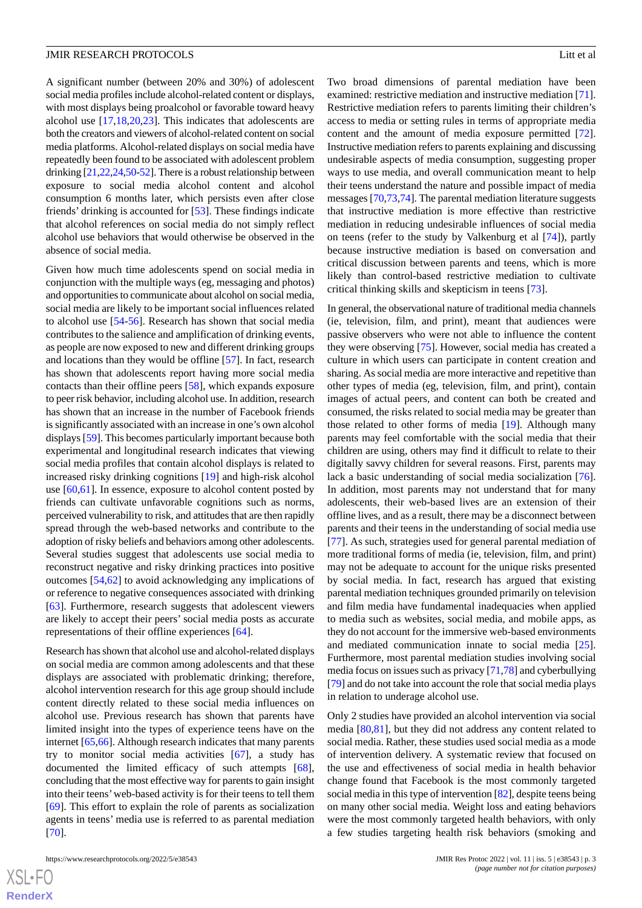A significant number (between 20% and 30%) of adolescent social media profiles include alcohol-related content or displays, with most displays being proalcohol or favorable toward heavy alcohol use  $[17,18,20,23]$  $[17,18,20,23]$  $[17,18,20,23]$  $[17,18,20,23]$  $[17,18,20,23]$  $[17,18,20,23]$ . This indicates that adolescents are both the creators and viewers of alcohol-related content on social media platforms. Alcohol-related displays on social media have repeatedly been found to be associated with adolescent problem drinking [\[21](#page-11-18)[,22](#page-11-19),[24](#page-11-3),[50](#page-12-9)-[52](#page-12-10)]. There is a robust relationship between exposure to social media alcohol content and alcohol consumption 6 months later, which persists even after close friends' drinking is accounted for [[53\]](#page-12-11). These findings indicate that alcohol references on social media do not simply reflect alcohol use behaviors that would otherwise be observed in the absence of social media.

Given how much time adolescents spend on social media in conjunction with the multiple ways (eg, messaging and photos) and opportunities to communicate about alcohol on social media, social media are likely to be important social influences related to alcohol use [[54-](#page-12-12)[56\]](#page-12-13). Research has shown that social media contributes to the salience and amplification of drinking events, as people are now exposed to new and different drinking groups and locations than they would be offline [\[57](#page-12-14)]. In fact, research has shown that adolescents report having more social media contacts than their offline peers [[58\]](#page-12-15), which expands exposure to peer risk behavior, including alcohol use. In addition, research has shown that an increase in the number of Facebook friends is significantly associated with an increase in one's own alcohol displays [\[59\]](#page-12-16). This becomes particularly important because both experimental and longitudinal research indicates that viewing social media profiles that contain alcohol displays is related to increased risky drinking cognitions [\[19](#page-11-2)] and high-risk alcohol use [[60](#page-12-17)[,61](#page-12-18)]. In essence, exposure to alcohol content posted by friends can cultivate unfavorable cognitions such as norms, perceived vulnerability to risk, and attitudes that are then rapidly spread through the web-based networks and contribute to the adoption of risky beliefs and behaviors among other adolescents. Several studies suggest that adolescents use social media to reconstruct negative and risky drinking practices into positive outcomes [[54](#page-12-12)[,62](#page-13-0)] to avoid acknowledging any implications of or reference to negative consequences associated with drinking [[63\]](#page-13-1). Furthermore, research suggests that adolescent viewers are likely to accept their peers' social media posts as accurate representations of their offline experiences [\[64](#page-13-2)].

Research has shown that alcohol use and alcohol-related displays on social media are common among adolescents and that these displays are associated with problematic drinking; therefore, alcohol intervention research for this age group should include content directly related to these social media influences on alcohol use. Previous research has shown that parents have limited insight into the types of experience teens have on the internet [\[65](#page-13-3),[66\]](#page-13-4). Although research indicates that many parents try to monitor social media activities [[67\]](#page-13-5), a study has documented the limited efficacy of such attempts [[68\]](#page-13-6), concluding that the most effective way for parents to gain insight into their teens'web-based activity is for their teens to tell them [[69\]](#page-13-7). This effort to explain the role of parents as socialization agents in teens' media use is referred to as parental mediation [[70\]](#page-13-8).

Two broad dimensions of parental mediation have been examined: restrictive mediation and instructive mediation [[71\]](#page-13-9). Restrictive mediation refers to parents limiting their children's access to media or setting rules in terms of appropriate media content and the amount of media exposure permitted [[72\]](#page-13-10). Instructive mediation refers to parents explaining and discussing undesirable aspects of media consumption, suggesting proper ways to use media, and overall communication meant to help their teens understand the nature and possible impact of media messages [\[70](#page-13-8),[73,](#page-13-11)[74\]](#page-13-12). The parental mediation literature suggests that instructive mediation is more effective than restrictive mediation in reducing undesirable influences of social media on teens (refer to the study by Valkenburg et al [[74\]](#page-13-12)), partly because instructive mediation is based on conversation and critical discussion between parents and teens, which is more likely than control-based restrictive mediation to cultivate critical thinking skills and skepticism in teens [\[73](#page-13-11)].

In general, the observational nature of traditional media channels (ie, television, film, and print), meant that audiences were passive observers who were not able to influence the content they were observing [\[75](#page-13-13)]. However, social media has created a culture in which users can participate in content creation and sharing. As social media are more interactive and repetitive than other types of media (eg, television, film, and print), contain images of actual peers, and content can both be created and consumed, the risks related to social media may be greater than those related to other forms of media [[19\]](#page-11-2). Although many parents may feel comfortable with the social media that their children are using, others may find it difficult to relate to their digitally savvy children for several reasons. First, parents may lack a basic understanding of social media socialization [[76\]](#page-13-14). In addition, most parents may not understand that for many adolescents, their web-based lives are an extension of their offline lives, and as a result, there may be a disconnect between parents and their teens in the understanding of social media use [[77\]](#page-13-15). As such, strategies used for general parental mediation of more traditional forms of media (ie, television, film, and print) may not be adequate to account for the unique risks presented by social media. In fact, research has argued that existing parental mediation techniques grounded primarily on television and film media have fundamental inadequacies when applied to media such as websites, social media, and mobile apps, as they do not account for the immersive web-based environments and mediated communication innate to social media [[25\]](#page-11-4). Furthermore, most parental mediation studies involving social media focus on issues such as privacy [[71,](#page-13-9)[78\]](#page-13-16) and cyberbullying [[79\]](#page-13-17) and do not take into account the role that social media plays in relation to underage alcohol use.

Only 2 studies have provided an alcohol intervention via social media [\[80](#page-13-18),[81\]](#page-13-19), but they did not address any content related to social media. Rather, these studies used social media as a mode of intervention delivery. A systematic review that focused on the use and effectiveness of social media in health behavior change found that Facebook is the most commonly targeted social media in this type of intervention [[82](#page-13-20)], despite teens being on many other social media. Weight loss and eating behaviors were the most commonly targeted health behaviors, with only a few studies targeting health risk behaviors (smoking and

 $XS$ -FO **[RenderX](http://www.renderx.com/)**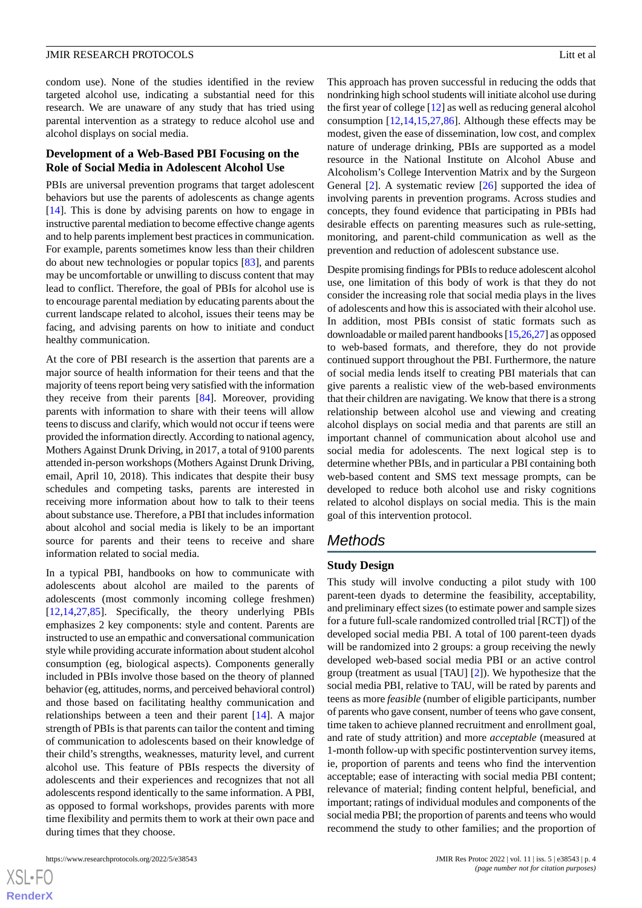condom use). None of the studies identified in the review targeted alcohol use, indicating a substantial need for this research. We are unaware of any study that has tried using parental intervention as a strategy to reduce alcohol use and alcohol displays on social media.

# **Development of a Web-Based PBI Focusing on the Role of Social Media in Adolescent Alcohol Use**

PBIs are universal prevention programs that target adolescent behaviors but use the parents of adolescents as change agents [[14\]](#page-10-14). This is done by advising parents on how to engage in instructive parental mediation to become effective change agents and to help parents implement best practices in communication. For example, parents sometimes know less than their children do about new technologies or popular topics [\[83](#page-13-21)], and parents may be uncomfortable or unwilling to discuss content that may lead to conflict. Therefore, the goal of PBIs for alcohol use is to encourage parental mediation by educating parents about the current landscape related to alcohol, issues their teens may be facing, and advising parents on how to initiate and conduct healthy communication.

At the core of PBI research is the assertion that parents are a major source of health information for their teens and that the majority of teens report being very satisfied with the information they receive from their parents [\[84](#page-13-22)]. Moreover, providing parents with information to share with their teens will allow teens to discuss and clarify, which would not occur if teens were provided the information directly. According to national agency, Mothers Against Drunk Driving, in 2017, a total of 9100 parents attended in-person workshops (Mothers Against Drunk Driving, email, April 10, 2018). This indicates that despite their busy schedules and competing tasks, parents are interested in receiving more information about how to talk to their teens about substance use. Therefore, a PBI that includes information about alcohol and social media is likely to be an important source for parents and their teens to receive and share information related to social media.

In a typical PBI, handbooks on how to communicate with adolescents about alcohol are mailed to the parents of adolescents (most commonly incoming college freshmen) [[12](#page-10-11)[,14](#page-10-14),[27](#page-11-6)[,85](#page-13-23)]. Specifically, the theory underlying PBIs emphasizes 2 key components: style and content. Parents are instructed to use an empathic and conversational communication style while providing accurate information about student alcohol consumption (eg, biological aspects). Components generally included in PBIs involve those based on the theory of planned behavior (eg, attitudes, norms, and perceived behavioral control) and those based on facilitating healthy communication and relationships between a teen and their parent [\[14](#page-10-14)]. A major strength of PBIs is that parents can tailor the content and timing of communication to adolescents based on their knowledge of their child's strengths, weaknesses, maturity level, and current alcohol use. This feature of PBIs respects the diversity of adolescents and their experiences and recognizes that not all adolescents respond identically to the same information. A PBI, as opposed to formal workshops, provides parents with more time flexibility and permits them to work at their own pace and during times that they choose.

 $XS$  • FC **[RenderX](http://www.renderx.com/)** This approach has proven successful in reducing the odds that nondrinking high school students will initiate alcohol use during the first year of college [[12\]](#page-10-11) as well as reducing general alcohol consumption  $[12,14,15,27,86]$  $[12,14,15,27,86]$  $[12,14,15,27,86]$  $[12,14,15,27,86]$  $[12,14,15,27,86]$  $[12,14,15,27,86]$  $[12,14,15,27,86]$ . Although these effects may be modest, given the ease of dissemination, low cost, and complex nature of underage drinking, PBIs are supported as a model resource in the National Institute on Alcohol Abuse and Alcoholism's College Intervention Matrix and by the Surgeon General [\[2](#page-10-1)]. A systematic review [[26\]](#page-11-5) supported the idea of involving parents in prevention programs. Across studies and concepts, they found evidence that participating in PBIs had desirable effects on parenting measures such as rule-setting, monitoring, and parent-child communication as well as the prevention and reduction of adolescent substance use.

Despite promising findings for PBIs to reduce adolescent alcohol use, one limitation of this body of work is that they do not consider the increasing role that social media plays in the lives of adolescents and how this is associated with their alcohol use. In addition, most PBIs consist of static formats such as downloadable or mailed parent handbooks [\[15](#page-10-12)[,26](#page-11-5),[27](#page-11-6)] as opposed to web-based formats, and therefore, they do not provide continued support throughout the PBI. Furthermore, the nature of social media lends itself to creating PBI materials that can give parents a realistic view of the web-based environments that their children are navigating. We know that there is a strong relationship between alcohol use and viewing and creating alcohol displays on social media and that parents are still an important channel of communication about alcohol use and social media for adolescents. The next logical step is to determine whether PBIs, and in particular a PBI containing both web-based content and SMS text message prompts, can be developed to reduce both alcohol use and risky cognitions related to alcohol displays on social media. This is the main goal of this intervention protocol.

# *Methods*

# **Study Design**

This study will involve conducting a pilot study with 100 parent-teen dyads to determine the feasibility, acceptability, and preliminary effect sizes (to estimate power and sample sizes for a future full-scale randomized controlled trial [RCT]) of the developed social media PBI. A total of 100 parent-teen dyads will be randomized into 2 groups: a group receiving the newly developed web-based social media PBI or an active control group (treatment as usual [TAU] [[2\]](#page-10-1)). We hypothesize that the social media PBI, relative to TAU, will be rated by parents and teens as more *feasible* (number of eligible participants, number of parents who gave consent, number of teens who gave consent, time taken to achieve planned recruitment and enrollment goal, and rate of study attrition) and more *acceptable* (measured at 1-month follow-up with specific postintervention survey items, ie, proportion of parents and teens who find the intervention acceptable; ease of interacting with social media PBI content; relevance of material; finding content helpful, beneficial, and important; ratings of individual modules and components of the social media PBI; the proportion of parents and teens who would recommend the study to other families; and the proportion of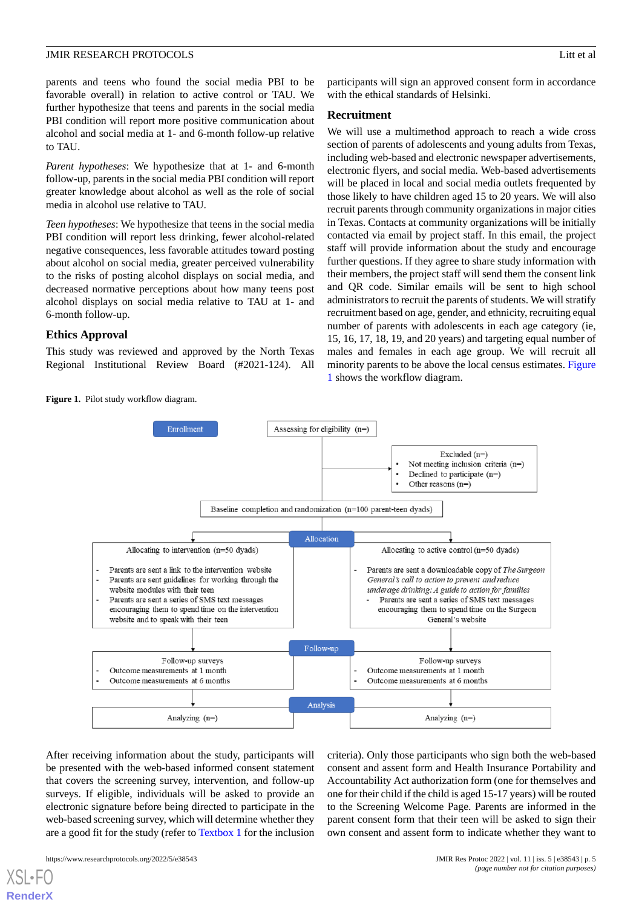parents and teens who found the social media PBI to be favorable overall) in relation to active control or TAU. We further hypothesize that teens and parents in the social media PBI condition will report more positive communication about alcohol and social media at 1- and 6-month follow-up relative to TAU.

*Parent hypotheses*: We hypothesize that at 1- and 6-month follow-up, parents in the social media PBI condition will report greater knowledge about alcohol as well as the role of social media in alcohol use relative to TAU.

*Teen hypotheses*: We hypothesize that teens in the social media PBI condition will report less drinking, fewer alcohol-related negative consequences, less favorable attitudes toward posting about alcohol on social media, greater perceived vulnerability to the risks of posting alcohol displays on social media, and decreased normative perceptions about how many teens post alcohol displays on social media relative to TAU at 1- and 6-month follow-up.

# **Ethics Approval**

<span id="page-4-0"></span>This study was reviewed and approved by the North Texas Regional Institutional Review Board (#2021-124). All

Figure 1. Pilot study workflow diagram.

participants will sign an approved consent form in accordance with the ethical standards of Helsinki.

# **Recruitment**

We will use a multimethod approach to reach a wide cross section of parents of adolescents and young adults from Texas, including web-based and electronic newspaper advertisements, electronic flyers, and social media. Web-based advertisements will be placed in local and social media outlets frequented by those likely to have children aged 15 to 20 years. We will also recruit parents through community organizations in major cities in Texas. Contacts at community organizations will be initially contacted via email by project staff. In this email, the project staff will provide information about the study and encourage further questions. If they agree to share study information with their members, the project staff will send them the consent link and QR code. Similar emails will be sent to high school administrators to recruit the parents of students. We will stratify recruitment based on age, gender, and ethnicity, recruiting equal number of parents with adolescents in each age category (ie, 15, 16, 17, 18, 19, and 20 years) and targeting equal number of males and females in each age group. We will recruit all minority parents to be above the local census estimates. [Figure](#page-4-0) [1](#page-4-0) shows the workflow diagram.



After receiving information about the study, participants will be presented with the web-based informed consent statement that covers the screening survey, intervention, and follow-up surveys. If eligible, individuals will be asked to provide an electronic signature before being directed to participate in the web-based screening survey, which will determine whether they are a good fit for the study (refer to [Textbox 1](#page-5-0) for the inclusion

criteria). Only those participants who sign both the web-based consent and assent form and Health Insurance Portability and Accountability Act authorization form (one for themselves and one for their child if the child is aged 15-17 years) will be routed to the Screening Welcome Page. Parents are informed in the parent consent form that their teen will be asked to sign their own consent and assent form to indicate whether they want to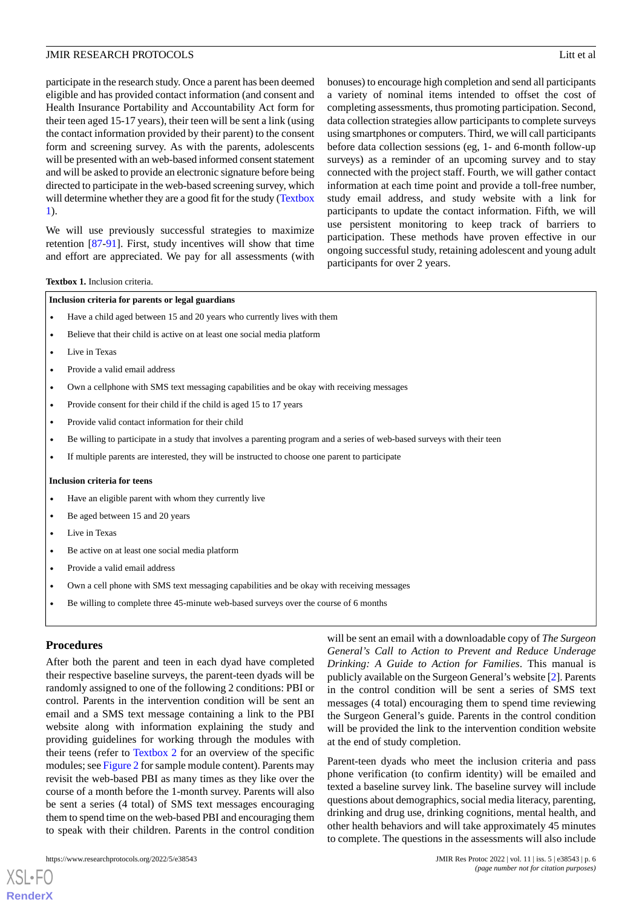participate in the research study. Once a parent has been deemed eligible and has provided contact information (and consent and Health Insurance Portability and Accountability Act form for their teen aged 15-17 years), their teen will be sent a link (using the contact information provided by their parent) to the consent form and screening survey. As with the parents, adolescents will be presented with an web-based informed consent statement and will be asked to provide an electronic signature before being directed to participate in the web-based screening survey, which will determine whether they are a good fit for the study ([Textbox](#page-5-0) [1\)](#page-5-0).

<span id="page-5-0"></span>We will use previously successful strategies to maximize retention [\[87](#page-14-0)[-91](#page-14-1)]. First, study incentives will show that time and effort are appreciated. We pay for all assessments (with

bonuses) to encourage high completion and send all participants a variety of nominal items intended to offset the cost of completing assessments, thus promoting participation. Second, data collection strategies allow participants to complete surveys using smartphones or computers. Third, we will call participants before data collection sessions (eg, 1- and 6-month follow-up surveys) as a reminder of an upcoming survey and to stay connected with the project staff. Fourth, we will gather contact information at each time point and provide a toll-free number, study email address, and study website with a link for participants to update the contact information. Fifth, we will use persistent monitoring to keep track of barriers to participation. These methods have proven effective in our ongoing successful study, retaining adolescent and young adult participants for over 2 years.

### **Textbox 1.** Inclusion criteria.

### **Inclusion criteria for parents or legal guardians**

- Have a child aged between 15 and 20 years who currently lives with them
- Believe that their child is active on at least one social media platform
- Live in Texas
- Provide a valid email address
- Own a cellphone with SMS text messaging capabilities and be okay with receiving messages
- Provide consent for their child if the child is aged 15 to 17 years
- Provide valid contact information for their child
- Be willing to participate in a study that involves a parenting program and a series of web-based surveys with their teen
- If multiple parents are interested, they will be instructed to choose one parent to participate

### **Inclusion criteria for teens**

- Have an eligible parent with whom they currently live
- Be aged between 15 and 20 years
- Live in Texas
- Be active on at least one social media platform
- Provide a valid email address
- Own a cell phone with SMS text messaging capabilities and be okay with receiving messages
- Be willing to complete three 45-minute web-based surveys over the course of 6 months

### **Procedures**

[XSL](http://www.w3.org/Style/XSL)•FO **[RenderX](http://www.renderx.com/)**

After both the parent and teen in each dyad have completed their respective baseline surveys, the parent-teen dyads will be randomly assigned to one of the following 2 conditions: PBI or control. Parents in the intervention condition will be sent an email and a SMS text message containing a link to the PBI website along with information explaining the study and providing guidelines for working through the modules with their teens (refer to [Textbox 2](#page-6-0) for an overview of the specific modules; see [Figure 2](#page-7-0) for sample module content). Parents may revisit the web-based PBI as many times as they like over the course of a month before the 1-month survey. Parents will also be sent a series (4 total) of SMS text messages encouraging them to spend time on the web-based PBI and encouraging them to speak with their children. Parents in the control condition

will be sent an email with a downloadable copy of *The Surgeon General's Call to Action to Prevent and Reduce Underage Drinking: A Guide to Action for Families*. This manual is publicly available on the Surgeon General's website [\[2](#page-10-1)]. Parents in the control condition will be sent a series of SMS text messages (4 total) encouraging them to spend time reviewing the Surgeon General's guide. Parents in the control condition will be provided the link to the intervention condition website at the end of study completion.

Parent-teen dyads who meet the inclusion criteria and pass phone verification (to confirm identity) will be emailed and texted a baseline survey link. The baseline survey will include questions about demographics, social media literacy, parenting, drinking and drug use, drinking cognitions, mental health, and other health behaviors and will take approximately 45 minutes to complete. The questions in the assessments will also include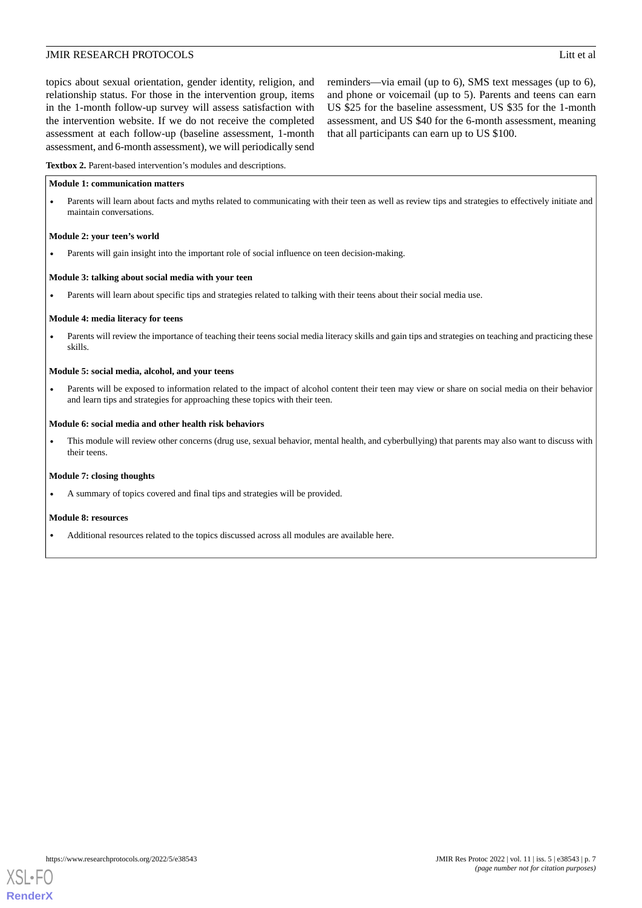topics about sexual orientation, gender identity, religion, and relationship status. For those in the intervention group, items in the 1-month follow-up survey will assess satisfaction with the intervention website. If we do not receive the completed assessment at each follow-up (baseline assessment, 1-month assessment, and 6-month assessment), we will periodically send

reminders—via email (up to 6), SMS text messages (up to 6), and phone or voicemail (up to 5). Parents and teens can earn US \$25 for the baseline assessment, US \$35 for the 1-month assessment, and US \$40 for the 6-month assessment, meaning that all participants can earn up to US \$100.

<span id="page-6-0"></span>**Textbox 2.** Parent-based intervention's modules and descriptions.

### **Module 1: communication matters**

• Parents will learn about facts and myths related to communicating with their teen as well as review tips and strategies to effectively initiate and maintain conversations.

### **Module 2: your teen's world**

Parents will gain insight into the important role of social influence on teen decision-making.

### **Module 3: talking about social media with your teen**

• Parents will learn about specific tips and strategies related to talking with their teens about their social media use.

### **Module 4: media literacy for teens**

Parents will review the importance of teaching their teens social media literacy skills and gain tips and strategies on teaching and practicing these skills.

### **Module 5: social media, alcohol, and your teens**

• Parents will be exposed to information related to the impact of alcohol content their teen may view or share on social media on their behavior and learn tips and strategies for approaching these topics with their teen.

### **Module 6: social media and other health risk behaviors**

• This module will review other concerns (drug use, sexual behavior, mental health, and cyberbullying) that parents may also want to discuss with their teens.

### **Module 7: closing thoughts**

• A summary of topics covered and final tips and strategies will be provided.

### **Module 8: resources**

• Additional resources related to the topics discussed across all modules are available here.

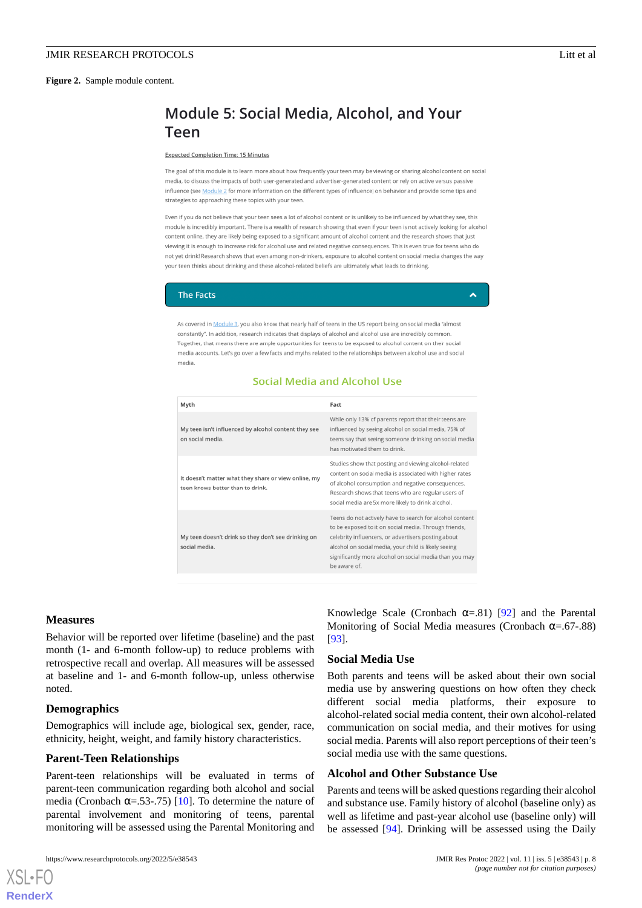<span id="page-7-0"></span>**Figure 2.** Sample module content.

# Module 5: Social Media, Alcohol, and Your Teen

#### **Expected Completion Time: 15 Minutes**

The goal of this module is to learn more about how frequently your teen may be viewing or sharing alcohol content on social media, to discuss the impacts of both user-generated and advertiser-generated content or rely on active versus passive influence (see Module 2 for more information on the different types of influence) on behavior and provide some tips and strategies to approaching these topics with your teen.

Even if you do not believe that your teen sees a lot of alcohol content or is unlikely to be influenced by what they see, this module is incredibly important. There is a wealth of research showing that even if your teen is not actively looking for alcohol content online, they are likely being exposed to a significant amount of alcohol content and the research shows that just viewing it is enough to increase risk for alcohol use and related negative consequences. This is even true for teens who do not yet drink! Research shows that even among non-drinkers, exposure to alcohol content on social media changes the way your teen thinks about drinking and these alcohol-related beliefs are ultimately what leads to drinking.

### **The Facts**

Â

As covered in Module 3, you also know that nearly half of teens in the US report being on social media "almost constantly". In addition, research indicates that displays of alcohol and alcohol use are incredibly common. Together, that means there are ample opportunities for teens to be exposed to alcohol content on their social media accounts. Let's go over a few facts and myths related to the relationships between alcohol use and social media

# Social Media and Alcohol Use

| Fact                                                                                                                                                                                                                                                                                                        |
|-------------------------------------------------------------------------------------------------------------------------------------------------------------------------------------------------------------------------------------------------------------------------------------------------------------|
| While only 13% of parents report that their teens are<br>influenced by seeing alcohol on social media, 75% of<br>teens say that seeing someone drinking on social media<br>has motivated them to drink.                                                                                                     |
| Studies show that posting and viewing alcohol-related<br>content on social media is associated with higher rates<br>of alcohol consumption and negative consequences.<br>Research shows that teens who are regular users of<br>social media are 5x more likely to drink alcohol.                            |
| Teens do not actively have to search for alcohol content<br>to be exposed to it on social media. Through friends,<br>celebrity influencers, or advertisers posting about<br>alcohol on social media, your child is likely seeing<br>significantly more alcohol on social media than you may<br>be aware of. |
|                                                                                                                                                                                                                                                                                                             |

### **Measures**

Behavior will be reported over lifetime (baseline) and the past month (1- and 6-month follow-up) to reduce problems with retrospective recall and overlap. All measures will be assessed at baseline and 1- and 6-month follow-up, unless otherwise noted.

## **Demographics**

[XSL](http://www.w3.org/Style/XSL)•FO **[RenderX](http://www.renderx.com/)**

Demographics will include age, biological sex, gender, race, ethnicity, height, weight, and family history characteristics.

### **Parent-Teen Relationships**

Parent-teen relationships will be evaluated in terms of parent-teen communication regarding both alcohol and social media (Cronbach  $\alpha$ =.53-.75) [\[10](#page-10-9)]. To determine the nature of parental involvement and monitoring of teens, parental monitoring will be assessed using the Parental Monitoring and

Knowledge Scale (Cronbach  $\alpha = .81$ ) [[92\]](#page-14-2) and the Parental Monitoring of Social Media measures (Cronbach  $\alpha$ =.67-.88) [[93\]](#page-14-3).

### **Social Media Use**

Both parents and teens will be asked about their own social media use by answering questions on how often they check different social media platforms, their exposure to alcohol-related social media content, their own alcohol-related communication on social media, and their motives for using social media. Parents will also report perceptions of their teen's social media use with the same questions.

### **Alcohol and Other Substance Use**

Parents and teens will be asked questions regarding their alcohol and substance use. Family history of alcohol (baseline only) as well as lifetime and past-year alcohol use (baseline only) will be assessed [\[94](#page-14-4)]. Drinking will be assessed using the Daily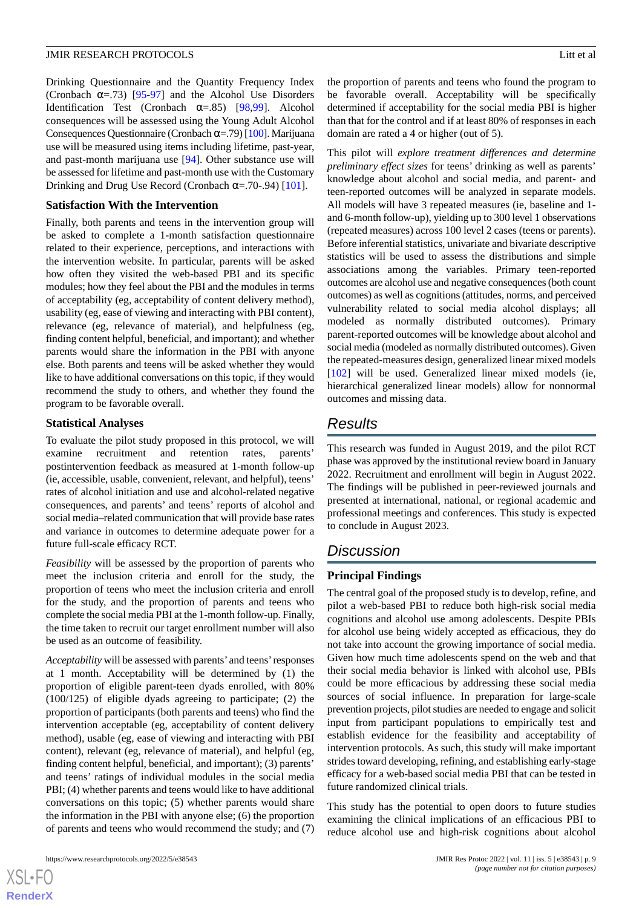Drinking Questionnaire and the Quantity Frequency Index (Cronbach  $\alpha = .73$ ) [\[95](#page-14-5)[-97](#page-14-6)] and the Alcohol Use Disorders Identification Test (Cronbach  $\alpha = .85$ ) [\[98](#page-14-7),[99\]](#page-14-8). Alcohol consequences will be assessed using the Young Adult Alcohol Consequences Questionnaire (Cronbach α=.79) [\[100](#page-14-9)]. Marijuana use will be measured using items including lifetime, past-year, and past-month marijuana use [[94\]](#page-14-4). Other substance use will be assessed for lifetime and past-month use with the Customary Drinking and Drug Use Record (Cronbach  $\alpha$ =.70-.94) [[101\]](#page-14-10).

# **Satisfaction With the Intervention**

Finally, both parents and teens in the intervention group will be asked to complete a 1-month satisfaction questionnaire related to their experience, perceptions, and interactions with the intervention website. In particular, parents will be asked how often they visited the web-based PBI and its specific modules; how they feel about the PBI and the modules in terms of acceptability (eg, acceptability of content delivery method), usability (eg, ease of viewing and interacting with PBI content), relevance (eg, relevance of material), and helpfulness (eg, finding content helpful, beneficial, and important); and whether parents would share the information in the PBI with anyone else. Both parents and teens will be asked whether they would like to have additional conversations on this topic, if they would recommend the study to others, and whether they found the program to be favorable overall.

# **Statistical Analyses**

To evaluate the pilot study proposed in this protocol, we will examine recruitment and retention rates, parents' postintervention feedback as measured at 1-month follow-up (ie, accessible, usable, convenient, relevant, and helpful), teens' rates of alcohol initiation and use and alcohol-related negative consequences, and parents' and teens' reports of alcohol and social media–related communication that will provide base rates and variance in outcomes to determine adequate power for a future full-scale efficacy RCT.

*Feasibility* will be assessed by the proportion of parents who meet the inclusion criteria and enroll for the study, the proportion of teens who meet the inclusion criteria and enroll for the study, and the proportion of parents and teens who complete the social media PBI at the 1-month follow-up. Finally, the time taken to recruit our target enrollment number will also be used as an outcome of feasibility.

*Acceptability* will be assessed with parents' and teens'responses at 1 month. Acceptability will be determined by (1) the proportion of eligible parent-teen dyads enrolled, with 80% (100/125) of eligible dyads agreeing to participate; (2) the proportion of participants (both parents and teens) who find the intervention acceptable (eg, acceptability of content delivery method), usable (eg, ease of viewing and interacting with PBI content), relevant (eg, relevance of material), and helpful (eg, finding content helpful, beneficial, and important); (3) parents' and teens' ratings of individual modules in the social media PBI; (4) whether parents and teens would like to have additional conversations on this topic; (5) whether parents would share the information in the PBI with anyone else; (6) the proportion of parents and teens who would recommend the study; and (7)

 $XS$ -FO **[RenderX](http://www.renderx.com/)** the proportion of parents and teens who found the program to be favorable overall. Acceptability will be specifically determined if acceptability for the social media PBI is higher than that for the control and if at least 80% of responses in each domain are rated a 4 or higher (out of 5).

This pilot will *explore treatment differences and determine preliminary effect sizes* for teens' drinking as well as parents' knowledge about alcohol and social media, and parent- and teen-reported outcomes will be analyzed in separate models. All models will have 3 repeated measures (ie, baseline and 1 and 6-month follow-up), yielding up to 300 level 1 observations (repeated measures) across 100 level 2 cases (teens or parents). Before inferential statistics, univariate and bivariate descriptive statistics will be used to assess the distributions and simple associations among the variables. Primary teen-reported outcomes are alcohol use and negative consequences (both count outcomes) as well as cognitions (attitudes, norms, and perceived vulnerability related to social media alcohol displays; all modeled as normally distributed outcomes). Primary parent-reported outcomes will be knowledge about alcohol and social media (modeled as normally distributed outcomes). Given the repeated-measures design, generalized linear mixed models [[102\]](#page-14-11) will be used. Generalized linear mixed models (ie, hierarchical generalized linear models) allow for nonnormal outcomes and missing data.

# *Results*

This research was funded in August 2019, and the pilot RCT phase was approved by the institutional review board in January 2022. Recruitment and enrollment will begin in August 2022. The findings will be published in peer-reviewed journals and presented at international, national, or regional academic and professional meetings and conferences. This study is expected to conclude in August 2023.

# *Discussion*

# **Principal Findings**

The central goal of the proposed study is to develop, refine, and pilot a web-based PBI to reduce both high-risk social media cognitions and alcohol use among adolescents. Despite PBIs for alcohol use being widely accepted as efficacious, they do not take into account the growing importance of social media. Given how much time adolescents spend on the web and that their social media behavior is linked with alcohol use, PBIs could be more efficacious by addressing these social media sources of social influence. In preparation for large-scale prevention projects, pilot studies are needed to engage and solicit input from participant populations to empirically test and establish evidence for the feasibility and acceptability of intervention protocols. As such, this study will make important strides toward developing, refining, and establishing early-stage efficacy for a web-based social media PBI that can be tested in future randomized clinical trials.

This study has the potential to open doors to future studies examining the clinical implications of an efficacious PBI to reduce alcohol use and high-risk cognitions about alcohol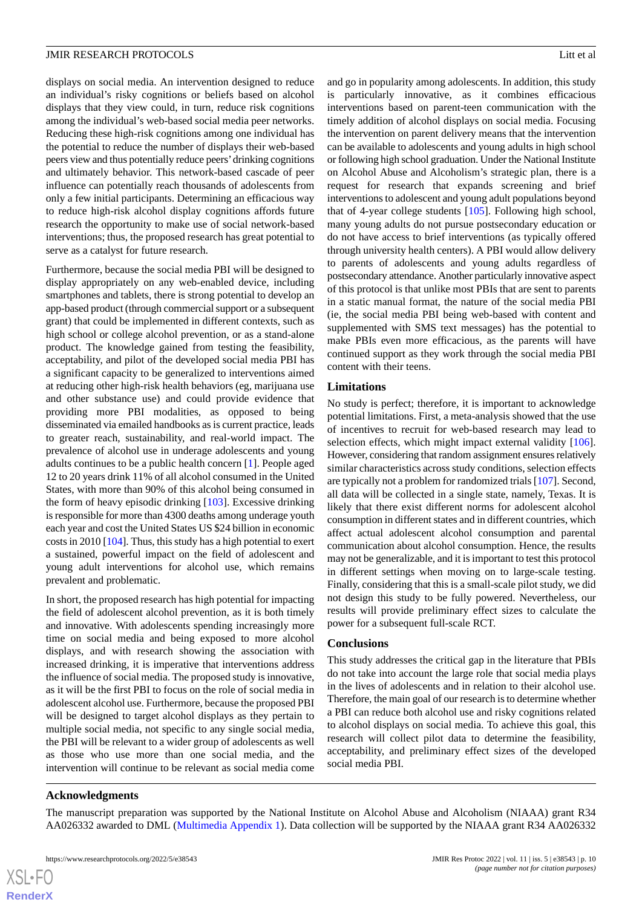displays on social media. An intervention designed to reduce an individual's risky cognitions or beliefs based on alcohol displays that they view could, in turn, reduce risk cognitions among the individual's web-based social media peer networks. Reducing these high-risk cognitions among one individual has the potential to reduce the number of displays their web-based peers view and thus potentially reduce peers'drinking cognitions and ultimately behavior. This network-based cascade of peer influence can potentially reach thousands of adolescents from only a few initial participants. Determining an efficacious way to reduce high-risk alcohol display cognitions affords future research the opportunity to make use of social network-based interventions; thus, the proposed research has great potential to serve as a catalyst for future research.

Furthermore, because the social media PBI will be designed to display appropriately on any web-enabled device, including smartphones and tablets, there is strong potential to develop an app-based product (through commercial support or a subsequent grant) that could be implemented in different contexts, such as high school or college alcohol prevention, or as a stand-alone product. The knowledge gained from testing the feasibility, acceptability, and pilot of the developed social media PBI has a significant capacity to be generalized to interventions aimed at reducing other high-risk health behaviors (eg, marijuana use and other substance use) and could provide evidence that providing more PBI modalities, as opposed to being disseminated via emailed handbooks as is current practice, leads to greater reach, sustainability, and real-world impact. The prevalence of alcohol use in underage adolescents and young adults continues to be a public health concern [[1\]](#page-10-0). People aged 12 to 20 years drink 11% of all alcohol consumed in the United States, with more than 90% of this alcohol being consumed in the form of heavy episodic drinking [\[103](#page-14-12)]. Excessive drinking is responsible for more than 4300 deaths among underage youth each year and cost the United States US \$24 billion in economic costs in 2010 [[104\]](#page-14-13). Thus, this study has a high potential to exert a sustained, powerful impact on the field of adolescent and young adult interventions for alcohol use, which remains prevalent and problematic.

In short, the proposed research has high potential for impacting the field of adolescent alcohol prevention, as it is both timely and innovative. With adolescents spending increasingly more time on social media and being exposed to more alcohol displays, and with research showing the association with increased drinking, it is imperative that interventions address the influence of social media. The proposed study is innovative, as it will be the first PBI to focus on the role of social media in adolescent alcohol use. Furthermore, because the proposed PBI will be designed to target alcohol displays as they pertain to multiple social media, not specific to any single social media, the PBI will be relevant to a wider group of adolescents as well as those who use more than one social media, and the intervention will continue to be relevant as social media come

and go in popularity among adolescents. In addition, this study is particularly innovative, as it combines efficacious interventions based on parent-teen communication with the timely addition of alcohol displays on social media. Focusing the intervention on parent delivery means that the intervention can be available to adolescents and young adults in high school or following high school graduation. Under the National Institute on Alcohol Abuse and Alcoholism's strategic plan, there is a request for research that expands screening and brief interventions to adolescent and young adult populations beyond that of 4-year college students [\[105\]](#page-14-14). Following high school, many young adults do not pursue postsecondary education or do not have access to brief interventions (as typically offered through university health centers). A PBI would allow delivery to parents of adolescents and young adults regardless of postsecondary attendance. Another particularly innovative aspect of this protocol is that unlike most PBIs that are sent to parents in a static manual format, the nature of the social media PBI (ie, the social media PBI being web-based with content and supplemented with SMS text messages) has the potential to make PBIs even more efficacious, as the parents will have continued support as they work through the social media PBI content with their teens.

# **Limitations**

No study is perfect; therefore, it is important to acknowledge potential limitations. First, a meta-analysis showed that the use of incentives to recruit for web-based research may lead to selection effects, which might impact external validity [[106\]](#page-14-15). However, considering that random assignment ensures relatively similar characteristics across study conditions, selection effects are typically not a problem for randomized trials [\[107](#page-14-16)]. Second, all data will be collected in a single state, namely, Texas. It is likely that there exist different norms for adolescent alcohol consumption in different states and in different countries, which affect actual adolescent alcohol consumption and parental communication about alcohol consumption. Hence, the results may not be generalizable, and it is important to test this protocol in different settings when moving on to large-scale testing. Finally, considering that this is a small-scale pilot study, we did not design this study to be fully powered. Nevertheless, our results will provide preliminary effect sizes to calculate the power for a subsequent full-scale RCT.

## **Conclusions**

This study addresses the critical gap in the literature that PBIs do not take into account the large role that social media plays in the lives of adolescents and in relation to their alcohol use. Therefore, the main goal of our research is to determine whether a PBI can reduce both alcohol use and risky cognitions related to alcohol displays on social media. To achieve this goal, this research will collect pilot data to determine the feasibility, acceptability, and preliminary effect sizes of the developed social media PBI.

# **Acknowledgments**

 $XS$ -FO **[RenderX](http://www.renderx.com/)**

The manuscript preparation was supported by the National Institute on Alcohol Abuse and Alcoholism (NIAAA) grant R34 AA026332 awarded to DML [\(Multimedia Appendix 1](#page-10-15)). Data collection will be supported by the NIAAA grant R34 AA026332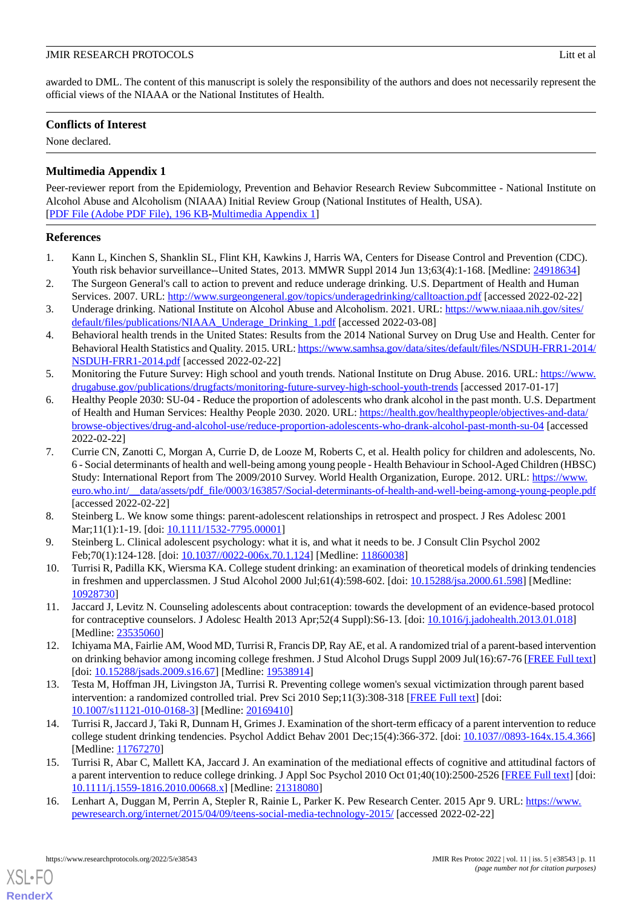awarded to DML. The content of this manuscript is solely the responsibility of the authors and does not necessarily represent the official views of the NIAAA or the National Institutes of Health.

# **Conflicts of Interest**

<span id="page-10-15"></span>None declared.

# **Multimedia Appendix 1**

Peer-reviewer report from the Epidemiology, Prevention and Behavior Research Review Subcommittee - National Institute on Alcohol Abuse and Alcoholism (NIAAA) Initial Review Group (National Institutes of Health, USA). [[PDF File \(Adobe PDF File\), 196 KB](https://jmir.org/api/download?alt_name=resprot_v11i5e38543_app1.pdf&filename=11670481a1b8b32c01cf80ea4bac3430.pdf)-[Multimedia Appendix 1\]](https://jmir.org/api/download?alt_name=resprot_v11i5e38543_app1.pdf&filename=11670481a1b8b32c01cf80ea4bac3430.pdf)

# <span id="page-10-0"></span>**References**

- <span id="page-10-1"></span>1. Kann L, Kinchen S, Shanklin SL, Flint KH, Kawkins J, Harris WA, Centers for Disease Control and Prevention (CDC). Youth risk behavior surveillance--United States, 2013. MMWR Suppl 2014 Jun 13;63(4):1-168. [Medline: [24918634\]](http://www.ncbi.nlm.nih.gov/entrez/query.fcgi?cmd=Retrieve&db=PubMed&list_uids=24918634&dopt=Abstract)
- <span id="page-10-2"></span>2. The Surgeon General's call to action to prevent and reduce underage drinking. U.S. Department of Health and Human Services. 2007. URL: <http://www.surgeongeneral.gov/topics/underagedrinking/calltoaction.pdf> [accessed 2022-02-22]
- <span id="page-10-3"></span>3. Underage drinking. National Institute on Alcohol Abuse and Alcoholism. 2021. URL: [https://www.niaaa.nih.gov/sites/](https://www.niaaa.nih.gov/sites/default/files/publications/NIAAA_Underage_Drinking_1.pdf) [default/files/publications/NIAAA\\_Underage\\_Drinking\\_1.pdf](https://www.niaaa.nih.gov/sites/default/files/publications/NIAAA_Underage_Drinking_1.pdf) [accessed 2022-03-08]
- <span id="page-10-4"></span>4. Behavioral health trends in the United States: Results from the 2014 National Survey on Drug Use and Health. Center for Behavioral Health Statistics and Quality. 2015. URL: [https://www.samhsa.gov/data/sites/default/files/NSDUH-FRR1-2014/](https://www.samhsa.gov/data/sites/default/files/NSDUH-FRR1-2014/NSDUH-FRR1-2014.pdf) [NSDUH-FRR1-2014.pdf](https://www.samhsa.gov/data/sites/default/files/NSDUH-FRR1-2014/NSDUH-FRR1-2014.pdf) [accessed 2022-02-22]
- <span id="page-10-5"></span>5. Monitoring the Future Survey: High school and youth trends. National Institute on Drug Abuse. 2016. URL: [https://www.](https://www.drugabuse.gov/publications/drugfacts/monitoring-future-survey-high-school-youth-trends) [drugabuse.gov/publications/drugfacts/monitoring-future-survey-high-school-youth-trends](https://www.drugabuse.gov/publications/drugfacts/monitoring-future-survey-high-school-youth-trends) [accessed 2017-01-17]
- <span id="page-10-6"></span>6. Healthy People 2030: SU-04 - Reduce the proportion of adolescents who drank alcohol in the past month. U.S. Department of Health and Human Services: Healthy People 2030. 2020. URL: [https://health.gov/healthypeople/objectives-and-data/](https://health.gov/healthypeople/objectives-and-data/browse-objectives/drug-and-alcohol-use/reduce-proportion-adolescents-who-drank-alcohol-past-month-su-04) [browse-objectives/drug-and-alcohol-use/reduce-proportion-adolescents-who-drank-alcohol-past-month-su-04](https://health.gov/healthypeople/objectives-and-data/browse-objectives/drug-and-alcohol-use/reduce-proportion-adolescents-who-drank-alcohol-past-month-su-04) [accessed 2022-02-22]
- <span id="page-10-7"></span>7. Currie CN, Zanotti C, Morgan A, Currie D, de Looze M, Roberts C, et al. Health policy for children and adolescents, No. 6 - Social determinants of health and well-being among young people - Health Behaviour in School-Aged Children (HBSC) Study: International Report from The 2009/2010 Survey. World Health Organization, Europe. 2012. URL: [https://www.](https://www.euro.who.int/__data/assets/pdf_file/0003/163857/Social-determinants-of-health-and-well-being-among-young-people.pdf) [euro.who.int/\\_\\_data/assets/pdf\\_file/0003/163857/Social-determinants-of-health-and-well-being-among-young-people.pdf](https://www.euro.who.int/__data/assets/pdf_file/0003/163857/Social-determinants-of-health-and-well-being-among-young-people.pdf) [accessed 2022-02-22]
- <span id="page-10-9"></span><span id="page-10-8"></span>8. Steinberg L. We know some things: parent-adolescent relationships in retrospect and prospect. J Res Adolesc 2001 Mar;11(1):1-19. [doi: [10.1111/1532-7795.00001](http://dx.doi.org/10.1111/1532-7795.00001)]
- <span id="page-10-10"></span>9. Steinberg L. Clinical adolescent psychology: what it is, and what it needs to be. J Consult Clin Psychol 2002 Feb;70(1):124-128. [doi: [10.1037//0022-006x.70.1.124](http://dx.doi.org/10.1037//0022-006x.70.1.124)] [Medline: [11860038](http://www.ncbi.nlm.nih.gov/entrez/query.fcgi?cmd=Retrieve&db=PubMed&list_uids=11860038&dopt=Abstract)]
- <span id="page-10-11"></span>10. Turrisi R, Padilla KK, Wiersma KA. College student drinking: an examination of theoretical models of drinking tendencies in freshmen and upperclassmen. J Stud Alcohol 2000 Jul;61(4):598-602. [doi: [10.15288/jsa.2000.61.598\]](http://dx.doi.org/10.15288/jsa.2000.61.598) [Medline: [10928730](http://www.ncbi.nlm.nih.gov/entrez/query.fcgi?cmd=Retrieve&db=PubMed&list_uids=10928730&dopt=Abstract)]
- 11. Jaccard J, Levitz N. Counseling adolescents about contraception: towards the development of an evidence-based protocol for contraceptive counselors. J Adolesc Health 2013 Apr;52(4 Suppl):S6-13. [doi: [10.1016/j.jadohealth.2013.01.018](http://dx.doi.org/10.1016/j.jadohealth.2013.01.018)] [Medline: [23535060](http://www.ncbi.nlm.nih.gov/entrez/query.fcgi?cmd=Retrieve&db=PubMed&list_uids=23535060&dopt=Abstract)]
- <span id="page-10-14"></span>12. Ichiyama MA, Fairlie AM, Wood MD, Turrisi R, Francis DP, Ray AE, et al. A randomized trial of a parent-based intervention on drinking behavior among incoming college freshmen. J Stud Alcohol Drugs Suppl 2009 Jul(16):67-76 [[FREE Full text](http://europepmc.org/abstract/MED/19538914)] [doi: [10.15288/jsads.2009.s16.67\]](http://dx.doi.org/10.15288/jsads.2009.s16.67) [Medline: [19538914](http://www.ncbi.nlm.nih.gov/entrez/query.fcgi?cmd=Retrieve&db=PubMed&list_uids=19538914&dopt=Abstract)]
- <span id="page-10-12"></span>13. Testa M, Hoffman JH, Livingston JA, Turrisi R. Preventing college women's sexual victimization through parent based intervention: a randomized controlled trial. Prev Sci 2010 Sep;11(3):308-318 [\[FREE Full text\]](http://europepmc.org/abstract/MED/20169410) [doi: [10.1007/s11121-010-0168-3\]](http://dx.doi.org/10.1007/s11121-010-0168-3) [Medline: [20169410](http://www.ncbi.nlm.nih.gov/entrez/query.fcgi?cmd=Retrieve&db=PubMed&list_uids=20169410&dopt=Abstract)]
- <span id="page-10-13"></span>14. Turrisi R, Jaccard J, Taki R, Dunnam H, Grimes J. Examination of the short-term efficacy of a parent intervention to reduce college student drinking tendencies. Psychol Addict Behav 2001 Dec;15(4):366-372. [doi: [10.1037//0893-164x.15.4.366\]](http://dx.doi.org/10.1037//0893-164x.15.4.366) [Medline: [11767270](http://www.ncbi.nlm.nih.gov/entrez/query.fcgi?cmd=Retrieve&db=PubMed&list_uids=11767270&dopt=Abstract)]
- 15. Turrisi R, Abar C, Mallett KA, Jaccard J. An examination of the mediational effects of cognitive and attitudinal factors of a parent intervention to reduce college drinking. J Appl Soc Psychol 2010 Oct 01;40(10):2500-2526 [\[FREE Full text](http://europepmc.org/abstract/MED/21318080)] [doi: [10.1111/j.1559-1816.2010.00668.x\]](http://dx.doi.org/10.1111/j.1559-1816.2010.00668.x) [Medline: [21318080\]](http://www.ncbi.nlm.nih.gov/entrez/query.fcgi?cmd=Retrieve&db=PubMed&list_uids=21318080&dopt=Abstract)
- 16. Lenhart A, Duggan M, Perrin A, Stepler R, Rainie L, Parker K. Pew Research Center. 2015 Apr 9. URL: [https://www.](https://www.pewresearch.org/internet/2015/04/09/teens-social-media-technology-2015/) [pewresearch.org/internet/2015/04/09/teens-social-media-technology-2015/](https://www.pewresearch.org/internet/2015/04/09/teens-social-media-technology-2015/) [accessed 2022-02-22]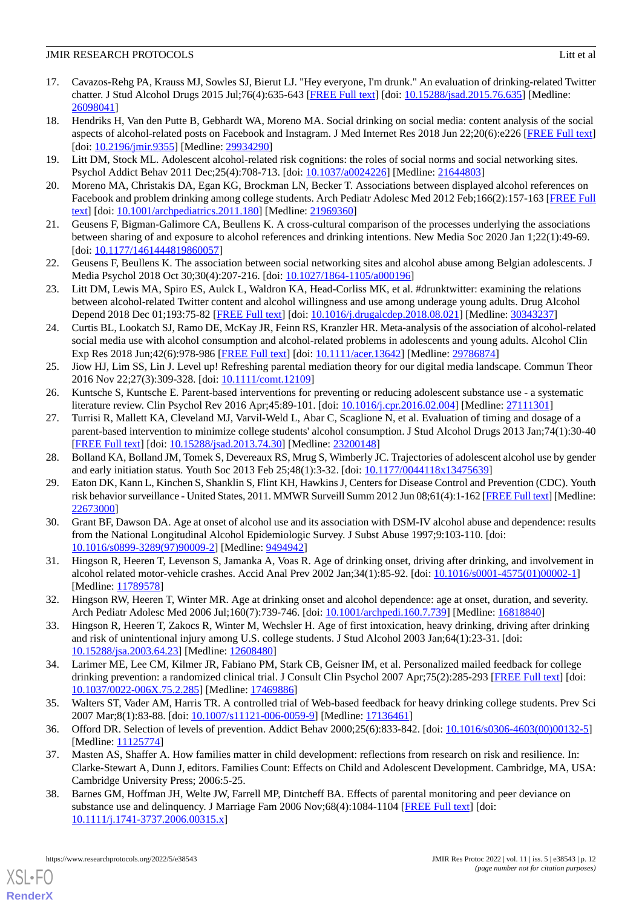- <span id="page-11-0"></span>17. Cavazos-Rehg PA, Krauss MJ, Sowles SJ, Bierut LJ. "Hey everyone, I'm drunk." An evaluation of drinking-related Twitter chatter. J Stud Alcohol Drugs 2015 Jul;76(4):635-643 [[FREE Full text](http://europepmc.org/abstract/MED/26098041)] [doi: [10.15288/jsad.2015.76.635](http://dx.doi.org/10.15288/jsad.2015.76.635)] [Medline: [26098041](http://www.ncbi.nlm.nih.gov/entrez/query.fcgi?cmd=Retrieve&db=PubMed&list_uids=26098041&dopt=Abstract)]
- <span id="page-11-1"></span>18. Hendriks H, Van den Putte B, Gebhardt WA, Moreno MA. Social drinking on social media: content analysis of the social aspects of alcohol-related posts on Facebook and Instagram. J Med Internet Res 2018 Jun 22;20(6):e226 [\[FREE Full text](https://www.jmir.org/2018/6/e226/)] [doi: [10.2196/jmir.9355\]](http://dx.doi.org/10.2196/jmir.9355) [Medline: [29934290\]](http://www.ncbi.nlm.nih.gov/entrez/query.fcgi?cmd=Retrieve&db=PubMed&list_uids=29934290&dopt=Abstract)
- <span id="page-11-16"></span><span id="page-11-2"></span>19. Litt DM, Stock ML. Adolescent alcohol-related risk cognitions: the roles of social norms and social networking sites. Psychol Addict Behav 2011 Dec;25(4):708-713. [doi: [10.1037/a0024226](http://dx.doi.org/10.1037/a0024226)] [Medline: [21644803](http://www.ncbi.nlm.nih.gov/entrez/query.fcgi?cmd=Retrieve&db=PubMed&list_uids=21644803&dopt=Abstract)]
- <span id="page-11-18"></span>20. Moreno MA, Christakis DA, Egan KG, Brockman LN, Becker T. Associations between displayed alcohol references on Facebook and problem drinking among college students. Arch Pediatr Adolesc Med 2012 Feb;166(2):157-163 [\[FREE Full](http://europepmc.org/abstract/MED/21969360) [text](http://europepmc.org/abstract/MED/21969360)] [doi: [10.1001/archpediatrics.2011.180\]](http://dx.doi.org/10.1001/archpediatrics.2011.180) [Medline: [21969360\]](http://www.ncbi.nlm.nih.gov/entrez/query.fcgi?cmd=Retrieve&db=PubMed&list_uids=21969360&dopt=Abstract)
- <span id="page-11-19"></span>21. Geusens F, Bigman-Galimore CA, Beullens K. A cross-cultural comparison of the processes underlying the associations between sharing of and exposure to alcohol references and drinking intentions. New Media Soc 2020 Jan 1;22(1):49-69. [doi: [10.1177/1461444819860057](http://dx.doi.org/10.1177/1461444819860057)]
- <span id="page-11-17"></span>22. Geusens F, Beullens K. The association between social networking sites and alcohol abuse among Belgian adolescents. J Media Psychol 2018 Oct 30;30(4):207-216. [doi: [10.1027/1864-1105/a000196\]](http://dx.doi.org/10.1027/1864-1105/a000196)
- <span id="page-11-3"></span>23. Litt DM, Lewis MA, Spiro ES, Aulck L, Waldron KA, Head-Corliss MK, et al. #drunktwitter: examining the relations between alcohol-related Twitter content and alcohol willingness and use among underage young adults. Drug Alcohol Depend 2018 Dec 01;193:75-82 [[FREE Full text](http://europepmc.org/abstract/MED/30343237)] [doi: [10.1016/j.drugalcdep.2018.08.021](http://dx.doi.org/10.1016/j.drugalcdep.2018.08.021)] [Medline: [30343237\]](http://www.ncbi.nlm.nih.gov/entrez/query.fcgi?cmd=Retrieve&db=PubMed&list_uids=30343237&dopt=Abstract)
- <span id="page-11-4"></span>24. Curtis BL, Lookatch SJ, Ramo DE, McKay JR, Feinn RS, Kranzler HR. Meta-analysis of the association of alcohol-related social media use with alcohol consumption and alcohol-related problems in adolescents and young adults. Alcohol Clin Exp Res 2018 Jun;42(6):978-986 [\[FREE Full text\]](http://europepmc.org/abstract/MED/29786874) [doi: [10.1111/acer.13642\]](http://dx.doi.org/10.1111/acer.13642) [Medline: [29786874\]](http://www.ncbi.nlm.nih.gov/entrez/query.fcgi?cmd=Retrieve&db=PubMed&list_uids=29786874&dopt=Abstract)
- <span id="page-11-6"></span><span id="page-11-5"></span>25. Jiow HJ, Lim SS, Lin J. Level up! Refreshing parental mediation theory for our digital media landscape. Commun Theor 2016 Nov 22;27(3):309-328. [doi: [10.1111/comt.12109](http://dx.doi.org/10.1111/comt.12109)]
- 26. Kuntsche S, Kuntsche E. Parent-based interventions for preventing or reducing adolescent substance use a systematic literature review. Clin Psychol Rev 2016 Apr;45:89-101. [doi: [10.1016/j.cpr.2016.02.004](http://dx.doi.org/10.1016/j.cpr.2016.02.004)] [Medline: [27111301\]](http://www.ncbi.nlm.nih.gov/entrez/query.fcgi?cmd=Retrieve&db=PubMed&list_uids=27111301&dopt=Abstract)
- <span id="page-11-7"></span>27. Turrisi R, Mallett KA, Cleveland MJ, Varvil-Weld L, Abar C, Scaglione N, et al. Evaluation of timing and dosage of a parent-based intervention to minimize college students' alcohol consumption. J Stud Alcohol Drugs 2013 Jan;74(1):30-40 [[FREE Full text](http://europepmc.org/abstract/MED/23200148)] [doi: [10.15288/jsad.2013.74.30](http://dx.doi.org/10.15288/jsad.2013.74.30)] [Medline: [23200148](http://www.ncbi.nlm.nih.gov/entrez/query.fcgi?cmd=Retrieve&db=PubMed&list_uids=23200148&dopt=Abstract)]
- 28. Bolland KA, Bolland JM, Tomek S, Devereaux RS, Mrug S, Wimberly JC. Trajectories of adolescent alcohol use by gender and early initiation status. Youth Soc 2013 Feb 25;48(1):3-32. [doi: [10.1177/0044118x13475639\]](http://dx.doi.org/10.1177/0044118x13475639)
- 29. Eaton DK, Kann L, Kinchen S, Shanklin S, Flint KH, Hawkins J, Centers for Disease Control and Prevention (CDC). Youth risk behavior surveillance - United States, 2011. MMWR Surveill Summ 2012 Jun 08;61(4):1-162 [[FREE Full text\]](https://www.cdc.gov/mmwr/preview/mmwrhtml/ss6104a1.htm) [Medline: [22673000](http://www.ncbi.nlm.nih.gov/entrez/query.fcgi?cmd=Retrieve&db=PubMed&list_uids=22673000&dopt=Abstract)]
- <span id="page-11-10"></span><span id="page-11-9"></span>30. Grant BF, Dawson DA. Age at onset of alcohol use and its association with DSM-IV alcohol abuse and dependence: results from the National Longitudinal Alcohol Epidemiologic Survey. J Subst Abuse 1997;9:103-110. [doi: [10.1016/s0899-3289\(97\)90009-2](http://dx.doi.org/10.1016/s0899-3289(97)90009-2)] [Medline: [9494942\]](http://www.ncbi.nlm.nih.gov/entrez/query.fcgi?cmd=Retrieve&db=PubMed&list_uids=9494942&dopt=Abstract)
- <span id="page-11-8"></span>31. Hingson R, Heeren T, Levenson S, Jamanka A, Voas R. Age of drinking onset, driving after drinking, and involvement in alcohol related motor-vehicle crashes. Accid Anal Prev 2002 Jan;34(1):85-92. [doi: [10.1016/s0001-4575\(01\)00002-1](http://dx.doi.org/10.1016/s0001-4575(01)00002-1)] [Medline: [11789578](http://www.ncbi.nlm.nih.gov/entrez/query.fcgi?cmd=Retrieve&db=PubMed&list_uids=11789578&dopt=Abstract)]
- <span id="page-11-11"></span>32. Hingson RW, Heeren T, Winter MR. Age at drinking onset and alcohol dependence: age at onset, duration, and severity. Arch Pediatr Adolesc Med 2006 Jul;160(7):739-746. [doi: [10.1001/archpedi.160.7.739](http://dx.doi.org/10.1001/archpedi.160.7.739)] [Medline: [16818840](http://www.ncbi.nlm.nih.gov/entrez/query.fcgi?cmd=Retrieve&db=PubMed&list_uids=16818840&dopt=Abstract)]
- <span id="page-11-12"></span>33. Hingson R, Heeren T, Zakocs R, Winter M, Wechsler H. Age of first intoxication, heavy drinking, driving after drinking and risk of unintentional injury among U.S. college students. J Stud Alcohol 2003 Jan;64(1):23-31. [doi: [10.15288/jsa.2003.64.23](http://dx.doi.org/10.15288/jsa.2003.64.23)] [Medline: [12608480](http://www.ncbi.nlm.nih.gov/entrez/query.fcgi?cmd=Retrieve&db=PubMed&list_uids=12608480&dopt=Abstract)]
- <span id="page-11-14"></span><span id="page-11-13"></span>34. Larimer ME, Lee CM, Kilmer JR, Fabiano PM, Stark CB, Geisner IM, et al. Personalized mailed feedback for college drinking prevention: a randomized clinical trial. J Consult Clin Psychol 2007 Apr;75(2):285-293 [[FREE Full text](http://europepmc.org/abstract/MED/17469886)] [doi: [10.1037/0022-006X.75.2.285\]](http://dx.doi.org/10.1037/0022-006X.75.2.285) [Medline: [17469886\]](http://www.ncbi.nlm.nih.gov/entrez/query.fcgi?cmd=Retrieve&db=PubMed&list_uids=17469886&dopt=Abstract)
- <span id="page-11-15"></span>35. Walters ST, Vader AM, Harris TR. A controlled trial of Web-based feedback for heavy drinking college students. Prev Sci 2007 Mar;8(1):83-88. [doi: [10.1007/s11121-006-0059-9\]](http://dx.doi.org/10.1007/s11121-006-0059-9) [Medline: [17136461\]](http://www.ncbi.nlm.nih.gov/entrez/query.fcgi?cmd=Retrieve&db=PubMed&list_uids=17136461&dopt=Abstract)
- 36. Offord DR. Selection of levels of prevention. Addict Behav 2000;25(6):833-842. [doi: [10.1016/s0306-4603\(00\)00132-5](http://dx.doi.org/10.1016/s0306-4603(00)00132-5)] [Medline: [11125774](http://www.ncbi.nlm.nih.gov/entrez/query.fcgi?cmd=Retrieve&db=PubMed&list_uids=11125774&dopt=Abstract)]
- 37. Masten AS, Shaffer A. How families matter in child development: reflections from research on risk and resilience. In: Clarke-Stewart A, Dunn J, editors. Families Count: Effects on Child and Adolescent Development. Cambridge, MA, USA: Cambridge University Press; 2006:5-25.
- 38. Barnes GM, Hoffman JH, Welte JW, Farrell MP, Dintcheff BA. Effects of parental monitoring and peer deviance on substance use and delinquency. J Marriage Fam 2006 Nov;68(4):1084-1104 [\[FREE Full text\]](http://europepmc.org/abstract/MED/23398758) [doi: [10.1111/j.1741-3737.2006.00315.x\]](http://dx.doi.org/10.1111/j.1741-3737.2006.00315.x)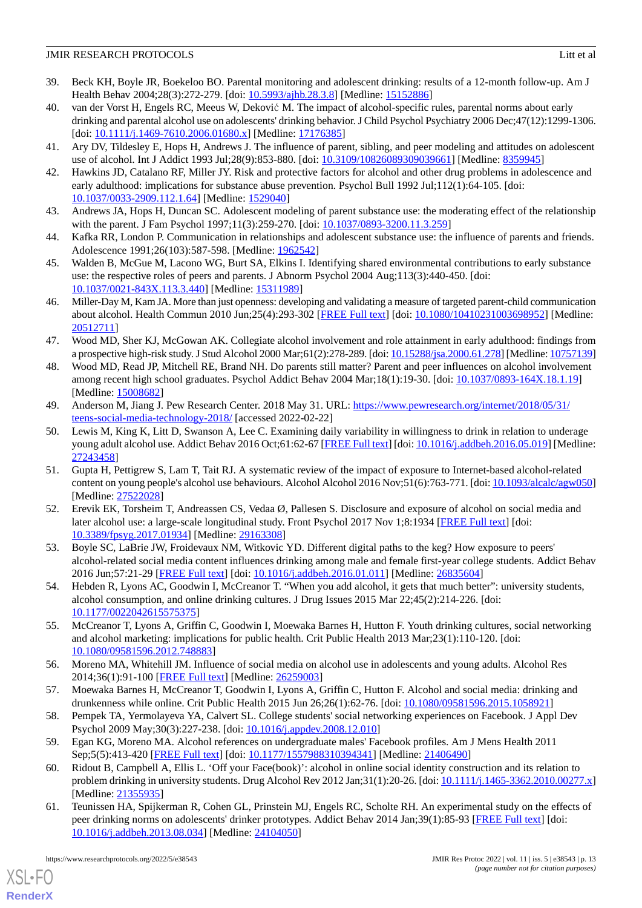- 39. Beck KH, Boyle JR, Boekeloo BO. Parental monitoring and adolescent drinking: results of a 12-month follow-up. Am J Health Behav 2004;28(3):272-279. [doi: [10.5993/ajhb.28.3.8](http://dx.doi.org/10.5993/ajhb.28.3.8)] [Medline: [15152886\]](http://www.ncbi.nlm.nih.gov/entrez/query.fcgi?cmd=Retrieve&db=PubMed&list_uids=15152886&dopt=Abstract)
- <span id="page-12-0"></span>40. van der Vorst H, Engels RC, Meeus W, Deković M. The impact of alcohol-specific rules, parental norms about early drinking and parental alcohol use on adolescents' drinking behavior. J Child Psychol Psychiatry 2006 Dec;47(12):1299-1306. [doi: [10.1111/j.1469-7610.2006.01680.x](http://dx.doi.org/10.1111/j.1469-7610.2006.01680.x)] [Medline: [17176385](http://www.ncbi.nlm.nih.gov/entrez/query.fcgi?cmd=Retrieve&db=PubMed&list_uids=17176385&dopt=Abstract)]
- <span id="page-12-2"></span><span id="page-12-1"></span>41. Ary DV, Tildesley E, Hops H, Andrews J. The influence of parent, sibling, and peer modeling and attitudes on adolescent use of alcohol. Int J Addict 1993 Jul;28(9):853-880. [doi: [10.3109/10826089309039661\]](http://dx.doi.org/10.3109/10826089309039661) [Medline: [8359945\]](http://www.ncbi.nlm.nih.gov/entrez/query.fcgi?cmd=Retrieve&db=PubMed&list_uids=8359945&dopt=Abstract)
- <span id="page-12-3"></span>42. Hawkins JD, Catalano RF, Miller JY. Risk and protective factors for alcohol and other drug problems in adolescence and early adulthood: implications for substance abuse prevention. Psychol Bull 1992 Jul;112(1):64-105. [doi: [10.1037/0033-2909.112.1.64\]](http://dx.doi.org/10.1037/0033-2909.112.1.64) [Medline: [1529040](http://www.ncbi.nlm.nih.gov/entrez/query.fcgi?cmd=Retrieve&db=PubMed&list_uids=1529040&dopt=Abstract)]
- 43. Andrews JA, Hops H, Duncan SC. Adolescent modeling of parent substance use: the moderating effect of the relationship with the parent. J Fam Psychol 1997;11(3):259-270. [doi: [10.1037/0893-3200.11.3.259](http://dx.doi.org/10.1037/0893-3200.11.3.259)]
- <span id="page-12-4"></span>44. Kafka RR, London P. Communication in relationships and adolescent substance use: the influence of parents and friends. Adolescence 1991;26(103):587-598. [Medline: [1962542\]](http://www.ncbi.nlm.nih.gov/entrez/query.fcgi?cmd=Retrieve&db=PubMed&list_uids=1962542&dopt=Abstract)
- <span id="page-12-5"></span>45. Walden B, McGue M, Lacono WG, Burt SA, Elkins I. Identifying shared environmental contributions to early substance use: the respective roles of peers and parents. J Abnorm Psychol 2004 Aug;113(3):440-450. [doi: [10.1037/0021-843X.113.3.440\]](http://dx.doi.org/10.1037/0021-843X.113.3.440) [Medline: [15311989\]](http://www.ncbi.nlm.nih.gov/entrez/query.fcgi?cmd=Retrieve&db=PubMed&list_uids=15311989&dopt=Abstract)
- <span id="page-12-6"></span>46. Miller-Day M, Kam JA. More than just openness: developing and validating a measure of targeted parent-child communication about alcohol. Health Commun 2010 Jun;25(4):293-302 [\[FREE Full text\]](http://europepmc.org/abstract/MED/20512711) [doi: [10.1080/10410231003698952](http://dx.doi.org/10.1080/10410231003698952)] [Medline: [20512711](http://www.ncbi.nlm.nih.gov/entrez/query.fcgi?cmd=Retrieve&db=PubMed&list_uids=20512711&dopt=Abstract)]
- <span id="page-12-7"></span>47. Wood MD, Sher KJ, McGowan AK. Collegiate alcohol involvement and role attainment in early adulthood: findings from a prospective high-risk study. J Stud Alcohol 2000 Mar;61(2):278-289. [doi: [10.15288/jsa.2000.61.278](http://dx.doi.org/10.15288/jsa.2000.61.278)] [Medline: [10757139\]](http://www.ncbi.nlm.nih.gov/entrez/query.fcgi?cmd=Retrieve&db=PubMed&list_uids=10757139&dopt=Abstract)
- <span id="page-12-8"></span>48. Wood MD, Read JP, Mitchell RE, Brand NH. Do parents still matter? Parent and peer influences on alcohol involvement among recent high school graduates. Psychol Addict Behav 2004 Mar;18(1):19-30. [doi: [10.1037/0893-164X.18.1.19](http://dx.doi.org/10.1037/0893-164X.18.1.19)] [Medline: [15008682](http://www.ncbi.nlm.nih.gov/entrez/query.fcgi?cmd=Retrieve&db=PubMed&list_uids=15008682&dopt=Abstract)]
- <span id="page-12-9"></span>49. Anderson M, Jiang J. Pew Research Center. 2018 May 31. URL: [https://www.pewresearch.org/internet/2018/05/31/](https://www.pewresearch.org/internet/2018/05/31/teens-social-media-technology-2018/) [teens-social-media-technology-2018/](https://www.pewresearch.org/internet/2018/05/31/teens-social-media-technology-2018/) [accessed 2022-02-22]
- 50. Lewis M, King K, Litt D, Swanson A, Lee C. Examining daily variability in willingness to drink in relation to underage young adult alcohol use. Addict Behav 2016 Oct;61:62-67 [\[FREE Full text](http://europepmc.org/abstract/MED/27243458)] [doi: [10.1016/j.addbeh.2016.05.019](http://dx.doi.org/10.1016/j.addbeh.2016.05.019)] [Medline: [27243458](http://www.ncbi.nlm.nih.gov/entrez/query.fcgi?cmd=Retrieve&db=PubMed&list_uids=27243458&dopt=Abstract)]
- <span id="page-12-10"></span>51. Gupta H, Pettigrew S, Lam T, Tait RJ. A systematic review of the impact of exposure to Internet-based alcohol-related content on young people's alcohol use behaviours. Alcohol Alcohol 2016 Nov;51(6):763-771. [doi: [10.1093/alcalc/agw050\]](http://dx.doi.org/10.1093/alcalc/agw050) [Medline: [27522028](http://www.ncbi.nlm.nih.gov/entrez/query.fcgi?cmd=Retrieve&db=PubMed&list_uids=27522028&dopt=Abstract)]
- <span id="page-12-12"></span><span id="page-12-11"></span>52. Erevik EK, Torsheim T, Andreassen CS, Vedaa Ø, Pallesen S. Disclosure and exposure of alcohol on social media and later alcohol use: a large-scale longitudinal study. Front Psychol 2017 Nov 1;8:1934 [[FREE Full text\]](https://doi.org/10.3389/fpsyg.2017.01934) [doi: [10.3389/fpsyg.2017.01934](http://dx.doi.org/10.3389/fpsyg.2017.01934)] [Medline: [29163308\]](http://www.ncbi.nlm.nih.gov/entrez/query.fcgi?cmd=Retrieve&db=PubMed&list_uids=29163308&dopt=Abstract)
- 53. Boyle SC, LaBrie JW, Froidevaux NM, Witkovic YD. Different digital paths to the keg? How exposure to peers' alcohol-related social media content influences drinking among male and female first-year college students. Addict Behav 2016 Jun;57:21-29 [[FREE Full text](http://europepmc.org/abstract/MED/26835604)] [doi: [10.1016/j.addbeh.2016.01.011](http://dx.doi.org/10.1016/j.addbeh.2016.01.011)] [Medline: [26835604\]](http://www.ncbi.nlm.nih.gov/entrez/query.fcgi?cmd=Retrieve&db=PubMed&list_uids=26835604&dopt=Abstract)
- <span id="page-12-13"></span>54. Hebden R, Lyons AC, Goodwin I, McCreanor T. "When you add alcohol, it gets that much better": university students, alcohol consumption, and online drinking cultures. J Drug Issues 2015 Mar 22;45(2):214-226. [doi: [10.1177/0022042615575375\]](http://dx.doi.org/10.1177/0022042615575375)
- <span id="page-12-14"></span>55. McCreanor T, Lyons A, Griffin C, Goodwin I, Moewaka Barnes H, Hutton F. Youth drinking cultures, social networking and alcohol marketing: implications for public health. Crit Public Health 2013 Mar;23(1):110-120. [doi: [10.1080/09581596.2012.748883\]](http://dx.doi.org/10.1080/09581596.2012.748883)
- <span id="page-12-16"></span><span id="page-12-15"></span>56. Moreno MA, Whitehill JM. Influence of social media on alcohol use in adolescents and young adults. Alcohol Res 2014;36(1):91-100 [[FREE Full text](http://europepmc.org/abstract/MED/26259003)] [Medline: [26259003](http://www.ncbi.nlm.nih.gov/entrez/query.fcgi?cmd=Retrieve&db=PubMed&list_uids=26259003&dopt=Abstract)]
- <span id="page-12-17"></span>57. Moewaka Barnes H, McCreanor T, Goodwin I, Lyons A, Griffin C, Hutton F. Alcohol and social media: drinking and drunkenness while online. Crit Public Health 2015 Jun 26;26(1):62-76. [doi: [10.1080/09581596.2015.1058921](http://dx.doi.org/10.1080/09581596.2015.1058921)]
- <span id="page-12-18"></span>58. Pempek TA, Yermolayeva YA, Calvert SL. College students' social networking experiences on Facebook. J Appl Dev Psychol 2009 May;30(3):227-238. [doi: [10.1016/j.appdev.2008.12.010\]](http://dx.doi.org/10.1016/j.appdev.2008.12.010)
- 59. Egan KG, Moreno MA. Alcohol references on undergraduate males' Facebook profiles. Am J Mens Health 2011 Sep;5(5):413-420 [[FREE Full text](https://journals.sagepub.com/doi/10.1177/1557988310394341?url_ver=Z39.88-2003&rfr_id=ori:rid:crossref.org&rfr_dat=cr_pub%3dpubmed)] [doi: [10.1177/1557988310394341\]](http://dx.doi.org/10.1177/1557988310394341) [Medline: [21406490\]](http://www.ncbi.nlm.nih.gov/entrez/query.fcgi?cmd=Retrieve&db=PubMed&list_uids=21406490&dopt=Abstract)
- 60. Ridout B, Campbell A, Ellis L. 'Off your Face(book)': alcohol in online social identity construction and its relation to problem drinking in university students. Drug Alcohol Rev 2012 Jan;31(1):20-26. [doi: [10.1111/j.1465-3362.2010.00277.x\]](http://dx.doi.org/10.1111/j.1465-3362.2010.00277.x) [Medline: [21355935](http://www.ncbi.nlm.nih.gov/entrez/query.fcgi?cmd=Retrieve&db=PubMed&list_uids=21355935&dopt=Abstract)]
- 61. Teunissen HA, Spijkerman R, Cohen GL, Prinstein MJ, Engels RC, Scholte RH. An experimental study on the effects of peer drinking norms on adolescents' drinker prototypes. Addict Behav 2014 Jan;39(1):85-93 [\[FREE Full text\]](http://europepmc.org/abstract/MED/24104050) [doi: [10.1016/j.addbeh.2013.08.034](http://dx.doi.org/10.1016/j.addbeh.2013.08.034)] [Medline: [24104050](http://www.ncbi.nlm.nih.gov/entrez/query.fcgi?cmd=Retrieve&db=PubMed&list_uids=24104050&dopt=Abstract)]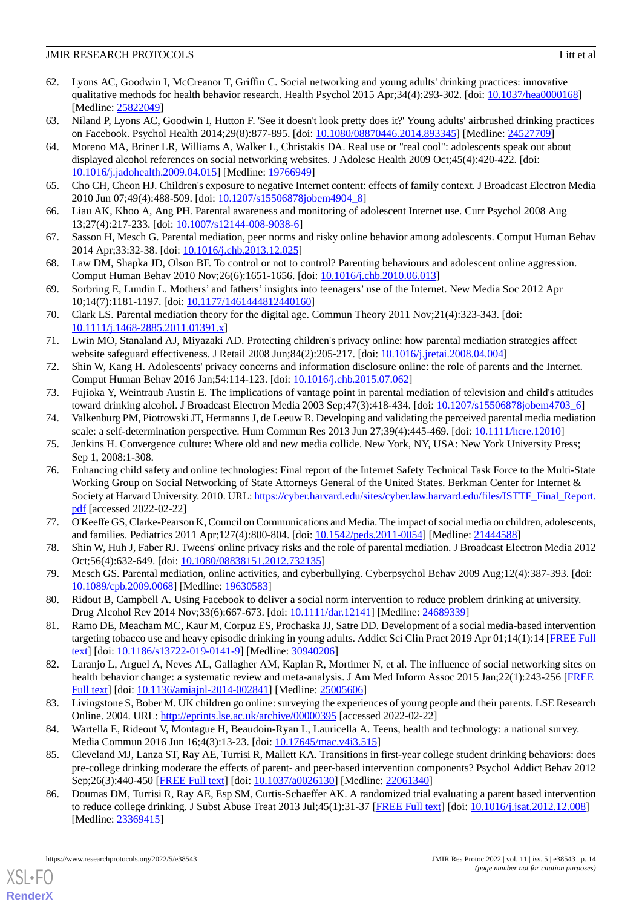- <span id="page-13-0"></span>62. Lyons AC, Goodwin I, McCreanor T, Griffin C. Social networking and young adults' drinking practices: innovative qualitative methods for health behavior research. Health Psychol 2015 Apr;34(4):293-302. [doi: [10.1037/hea0000168](http://dx.doi.org/10.1037/hea0000168)] [Medline: [25822049](http://www.ncbi.nlm.nih.gov/entrez/query.fcgi?cmd=Retrieve&db=PubMed&list_uids=25822049&dopt=Abstract)]
- <span id="page-13-2"></span><span id="page-13-1"></span>63. Niland P, Lyons AC, Goodwin I, Hutton F. 'See it doesn't look pretty does it?' Young adults' airbrushed drinking practices on Facebook. Psychol Health 2014;29(8):877-895. [doi: [10.1080/08870446.2014.893345](http://dx.doi.org/10.1080/08870446.2014.893345)] [Medline: [24527709](http://www.ncbi.nlm.nih.gov/entrez/query.fcgi?cmd=Retrieve&db=PubMed&list_uids=24527709&dopt=Abstract)]
- 64. Moreno MA, Briner LR, Williams A, Walker L, Christakis DA. Real use or "real cool": adolescents speak out about displayed alcohol references on social networking websites. J Adolesc Health 2009 Oct;45(4):420-422. [doi: [10.1016/j.jadohealth.2009.04.015](http://dx.doi.org/10.1016/j.jadohealth.2009.04.015)] [Medline: [19766949](http://www.ncbi.nlm.nih.gov/entrez/query.fcgi?cmd=Retrieve&db=PubMed&list_uids=19766949&dopt=Abstract)]
- <span id="page-13-4"></span><span id="page-13-3"></span>65. Cho CH, Cheon HJ. Children's exposure to negative Internet content: effects of family context. J Broadcast Electron Media 2010 Jun 07;49(4):488-509. [doi: [10.1207/s15506878jobem4904\\_8](http://dx.doi.org/10.1207/s15506878jobem4904_8)]
- <span id="page-13-5"></span>66. Liau AK, Khoo A, Ang PH. Parental awareness and monitoring of adolescent Internet use. Curr Psychol 2008 Aug 13;27(4):217-233. [doi: [10.1007/s12144-008-9038-6\]](http://dx.doi.org/10.1007/s12144-008-9038-6)
- <span id="page-13-6"></span>67. Sasson H, Mesch G. Parental mediation, peer norms and risky online behavior among adolescents. Comput Human Behav 2014 Apr;33:32-38. [doi: [10.1016/j.chb.2013.12.025\]](http://dx.doi.org/10.1016/j.chb.2013.12.025)
- <span id="page-13-7"></span>68. Law DM, Shapka JD, Olson BF. To control or not to control? Parenting behaviours and adolescent online aggression. Comput Human Behav 2010 Nov;26(6):1651-1656. [doi: [10.1016/j.chb.2010.06.013\]](http://dx.doi.org/10.1016/j.chb.2010.06.013)
- <span id="page-13-8"></span>69. Sorbring E, Lundin L. Mothers' and fathers' insights into teenagers' use of the Internet. New Media Soc 2012 Apr 10;14(7):1181-1197. [doi: [10.1177/1461444812440160\]](http://dx.doi.org/10.1177/1461444812440160)
- <span id="page-13-9"></span>70. Clark LS. Parental mediation theory for the digital age. Commun Theory 2011 Nov;21(4):323-343. [doi: [10.1111/j.1468-2885.2011.01391.x\]](http://dx.doi.org/10.1111/j.1468-2885.2011.01391.x)
- <span id="page-13-10"></span>71. Lwin MO, Stanaland AJ, Miyazaki AD. Protecting children's privacy online: how parental mediation strategies affect website safeguard effectiveness. J Retail 2008 Jun;84(2):205-217. [doi: [10.1016/j.jretai.2008.04.004](http://dx.doi.org/10.1016/j.jretai.2008.04.004)]
- <span id="page-13-12"></span><span id="page-13-11"></span>72. Shin W, Kang H. Adolescents' privacy concerns and information disclosure online: the role of parents and the Internet. Comput Human Behav 2016 Jan;54:114-123. [doi: [10.1016/j.chb.2015.07.062](http://dx.doi.org/10.1016/j.chb.2015.07.062)]
- <span id="page-13-13"></span>73. Fujioka Y, Weintraub Austin E. The implications of vantage point in parental mediation of television and child's attitudes toward drinking alcohol. J Broadcast Electron Media 2003 Sep;47(3):418-434. [doi: [10.1207/s15506878jobem4703\\_6](http://dx.doi.org/10.1207/s15506878jobem4703_6)]
- <span id="page-13-14"></span>74. Valkenburg PM, Piotrowski JT, Hermanns J, de Leeuw R. Developing and validating the perceived parental media mediation scale: a self-determination perspective. Hum Commun Res 2013 Jun 27;39(4):445-469. [doi: [10.1111/hcre.12010](http://dx.doi.org/10.1111/hcre.12010)]
- 75. Jenkins H. Convergence culture: Where old and new media collide. New York, NY, USA: New York University Press; Sep 1, 2008:1-308.
- <span id="page-13-16"></span><span id="page-13-15"></span>76. Enhancing child safety and online technologies: Final report of the Internet Safety Technical Task Force to the Multi-State Working Group on Social Networking of State Attorneys General of the United States. Berkman Center for Internet & Society at Harvard University. 2010. URL: [https://cyber.harvard.edu/sites/cyber.law.harvard.edu/files/ISTTF\\_Final\\_Report.](https://cyber.harvard.edu/sites/cyber.law.harvard.edu/files/ISTTF_Final_Report.pdf) [pdf](https://cyber.harvard.edu/sites/cyber.law.harvard.edu/files/ISTTF_Final_Report.pdf) [accessed 2022-02-22]
- <span id="page-13-17"></span>77. O'Keeffe GS, Clarke-Pearson K, Council on Communications and Media. The impact of social media on children, adolescents, and families. Pediatrics 2011 Apr;127(4):800-804. [doi: [10.1542/peds.2011-0054\]](http://dx.doi.org/10.1542/peds.2011-0054) [Medline: [21444588\]](http://www.ncbi.nlm.nih.gov/entrez/query.fcgi?cmd=Retrieve&db=PubMed&list_uids=21444588&dopt=Abstract)
- <span id="page-13-18"></span>78. Shin W, Huh J, Faber RJ. Tweens' online privacy risks and the role of parental mediation. J Broadcast Electron Media 2012 Oct;56(4):632-649. [doi: [10.1080/08838151.2012.732135](http://dx.doi.org/10.1080/08838151.2012.732135)]
- <span id="page-13-19"></span>79. Mesch GS. Parental mediation, online activities, and cyberbullying. Cyberpsychol Behav 2009 Aug;12(4):387-393. [doi: [10.1089/cpb.2009.0068\]](http://dx.doi.org/10.1089/cpb.2009.0068) [Medline: [19630583\]](http://www.ncbi.nlm.nih.gov/entrez/query.fcgi?cmd=Retrieve&db=PubMed&list_uids=19630583&dopt=Abstract)
- <span id="page-13-20"></span>80. Ridout B, Campbell A. Using Facebook to deliver a social norm intervention to reduce problem drinking at university. Drug Alcohol Rev 2014 Nov;33(6):667-673. [doi: [10.1111/dar.12141](http://dx.doi.org/10.1111/dar.12141)] [Medline: [24689339\]](http://www.ncbi.nlm.nih.gov/entrez/query.fcgi?cmd=Retrieve&db=PubMed&list_uids=24689339&dopt=Abstract)
- <span id="page-13-21"></span>81. Ramo DE, Meacham MC, Kaur M, Corpuz ES, Prochaska JJ, Satre DD. Development of a social media-based intervention targeting tobacco use and heavy episodic drinking in young adults. Addict Sci Clin Pract 2019 Apr 01;14(1):14 [\[FREE Full](https://ascpjournal.biomedcentral.com/articles/10.1186/s13722-019-0141-9) [text](https://ascpjournal.biomedcentral.com/articles/10.1186/s13722-019-0141-9)] [doi: [10.1186/s13722-019-0141-9\]](http://dx.doi.org/10.1186/s13722-019-0141-9) [Medline: [30940206](http://www.ncbi.nlm.nih.gov/entrez/query.fcgi?cmd=Retrieve&db=PubMed&list_uids=30940206&dopt=Abstract)]
- <span id="page-13-23"></span><span id="page-13-22"></span>82. Laranjo L, Arguel A, Neves AL, Gallagher AM, Kaplan R, Mortimer N, et al. The influence of social networking sites on health behavior change: a systematic review and meta-analysis. J Am Med Inform Assoc 2015 Jan;22(1):243-256 [\[FREE](http://europepmc.org/abstract/MED/25005606) [Full text\]](http://europepmc.org/abstract/MED/25005606) [doi: [10.1136/amiajnl-2014-002841](http://dx.doi.org/10.1136/amiajnl-2014-002841)] [Medline: [25005606\]](http://www.ncbi.nlm.nih.gov/entrez/query.fcgi?cmd=Retrieve&db=PubMed&list_uids=25005606&dopt=Abstract)
- <span id="page-13-24"></span>83. Livingstone S, Bober M. UK children go online: surveying the experiences of young people and their parents. LSE Research Online. 2004. URL:<http://eprints.lse.ac.uk/archive/00000395> [accessed 2022-02-22]
- 84. Wartella E, Rideout V, Montague H, Beaudoin-Ryan L, Lauricella A. Teens, health and technology: a national survey. Media Commun 2016 Jun 16;4(3):13-23. [doi: [10.17645/mac.v4i3.515\]](http://dx.doi.org/10.17645/mac.v4i3.515)
- 85. Cleveland MJ, Lanza ST, Ray AE, Turrisi R, Mallett KA. Transitions in first-year college student drinking behaviors: does pre-college drinking moderate the effects of parent- and peer-based intervention components? Psychol Addict Behav 2012 Sep;26(3):440-450 [[FREE Full text](http://europepmc.org/abstract/MED/22061340)] [doi:  $10.1037/a0026130$ ] [Medline: [22061340](http://www.ncbi.nlm.nih.gov/entrez/query.fcgi?cmd=Retrieve&db=PubMed&list_uids=22061340&dopt=Abstract)]
- 86. Doumas DM, Turrisi R, Ray AE, Esp SM, Curtis-Schaeffer AK. A randomized trial evaluating a parent based intervention to reduce college drinking. J Subst Abuse Treat 2013 Jul;45(1):31-37 [[FREE Full text](http://europepmc.org/abstract/MED/23369415)] [doi: [10.1016/j.jsat.2012.12.008](http://dx.doi.org/10.1016/j.jsat.2012.12.008)] [Medline: [23369415](http://www.ncbi.nlm.nih.gov/entrez/query.fcgi?cmd=Retrieve&db=PubMed&list_uids=23369415&dopt=Abstract)]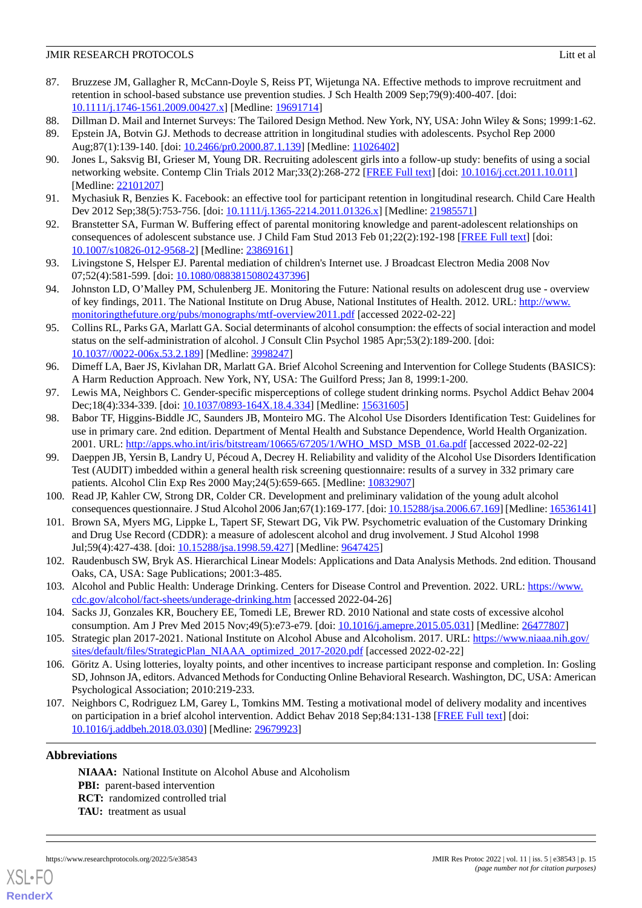- <span id="page-14-0"></span>87. Bruzzese JM, Gallagher R, McCann-Doyle S, Reiss PT, Wijetunga NA. Effective methods to improve recruitment and retention in school-based substance use prevention studies. J Sch Health 2009 Sep;79(9):400-407. [doi: [10.1111/j.1746-1561.2009.00427.x\]](http://dx.doi.org/10.1111/j.1746-1561.2009.00427.x) [Medline: [19691714\]](http://www.ncbi.nlm.nih.gov/entrez/query.fcgi?cmd=Retrieve&db=PubMed&list_uids=19691714&dopt=Abstract)
- 88. Dillman D. Mail and Internet Surveys: The Tailored Design Method. New York, NY, USA: John Wiley & Sons; 1999:1-62.
- 89. Epstein JA, Botvin GJ. Methods to decrease attrition in longitudinal studies with adolescents. Psychol Rep 2000 Aug;87(1):139-140. [doi: [10.2466/pr0.2000.87.1.139](http://dx.doi.org/10.2466/pr0.2000.87.1.139)] [Medline: [11026402](http://www.ncbi.nlm.nih.gov/entrez/query.fcgi?cmd=Retrieve&db=PubMed&list_uids=11026402&dopt=Abstract)]
- 90. Jones L, Saksvig BI, Grieser M, Young DR. Recruiting adolescent girls into a follow-up study: benefits of using a social networking website. Contemp Clin Trials 2012 Mar;33(2):268-272 [[FREE Full text](http://europepmc.org/abstract/MED/22101207)] [doi: [10.1016/j.cct.2011.10.011](http://dx.doi.org/10.1016/j.cct.2011.10.011)] [Medline: [22101207](http://www.ncbi.nlm.nih.gov/entrez/query.fcgi?cmd=Retrieve&db=PubMed&list_uids=22101207&dopt=Abstract)]
- <span id="page-14-2"></span><span id="page-14-1"></span>91. Mychasiuk R, Benzies K. Facebook: an effective tool for participant retention in longitudinal research. Child Care Health Dev 2012 Sep;38(5):753-756. [doi: [10.1111/j.1365-2214.2011.01326.x](http://dx.doi.org/10.1111/j.1365-2214.2011.01326.x)] [Medline: [21985571](http://www.ncbi.nlm.nih.gov/entrez/query.fcgi?cmd=Retrieve&db=PubMed&list_uids=21985571&dopt=Abstract)]
- <span id="page-14-3"></span>92. Branstetter SA, Furman W. Buffering effect of parental monitoring knowledge and parent-adolescent relationships on consequences of adolescent substance use. J Child Fam Stud 2013 Feb 01;22(2):192-198 [[FREE Full text](http://europepmc.org/abstract/MED/23869161)] [doi: [10.1007/s10826-012-9568-2\]](http://dx.doi.org/10.1007/s10826-012-9568-2) [Medline: [23869161](http://www.ncbi.nlm.nih.gov/entrez/query.fcgi?cmd=Retrieve&db=PubMed&list_uids=23869161&dopt=Abstract)]
- <span id="page-14-4"></span>93. Livingstone S, Helsper EJ. Parental mediation of children's Internet use. J Broadcast Electron Media 2008 Nov 07;52(4):581-599. [doi: [10.1080/08838150802437396\]](http://dx.doi.org/10.1080/08838150802437396)
- <span id="page-14-5"></span>94. Johnston LD, O'Malley PM, Schulenberg JE. Monitoring the Future: National results on adolescent drug use - overview of key findings, 2011. The National Institute on Drug Abuse, National Institutes of Health. 2012. URL: [http://www.](http://www.monitoringthefuture.org/pubs/monographs/mtf-overview2011.pdf) [monitoringthefuture.org/pubs/monographs/mtf-overview2011.pdf](http://www.monitoringthefuture.org/pubs/monographs/mtf-overview2011.pdf) [accessed 2022-02-22]
- 95. Collins RL, Parks GA, Marlatt GA. Social determinants of alcohol consumption: the effects of social interaction and model status on the self-administration of alcohol. J Consult Clin Psychol 1985 Apr;53(2):189-200. [doi: [10.1037//0022-006x.53.2.189](http://dx.doi.org/10.1037//0022-006x.53.2.189)] [Medline: [3998247](http://www.ncbi.nlm.nih.gov/entrez/query.fcgi?cmd=Retrieve&db=PubMed&list_uids=3998247&dopt=Abstract)]
- <span id="page-14-7"></span><span id="page-14-6"></span>96. Dimeff LA, Baer JS, Kivlahan DR, Marlatt GA. Brief Alcohol Screening and Intervention for College Students (BASICS): A Harm Reduction Approach. New York, NY, USA: The Guilford Press; Jan 8, 1999:1-200.
- 97. Lewis MA, Neighbors C. Gender-specific misperceptions of college student drinking norms. Psychol Addict Behav 2004 Dec;18(4):334-339. [doi: [10.1037/0893-164X.18.4.334\]](http://dx.doi.org/10.1037/0893-164X.18.4.334) [Medline: [15631605\]](http://www.ncbi.nlm.nih.gov/entrez/query.fcgi?cmd=Retrieve&db=PubMed&list_uids=15631605&dopt=Abstract)
- <span id="page-14-8"></span>98. Babor TF, Higgins-Biddle JC, Saunders JB, Monteiro MG. The Alcohol Use Disorders Identification Test: Guidelines for use in primary care. 2nd edition. Department of Mental Health and Substance Dependence, World Health Organization. 2001. URL: [http://apps.who.int/iris/bitstream/10665/67205/1/WHO\\_MSD\\_MSB\\_01.6a.pdf](http://apps.who.int/iris/bitstream/10665/67205/1/WHO_MSD_MSB_01.6a.pdf) [accessed 2022-02-22]
- <span id="page-14-10"></span><span id="page-14-9"></span>99. Daeppen JB, Yersin B, Landry U, Pécoud A, Decrey H. Reliability and validity of the Alcohol Use Disorders Identification Test (AUDIT) imbedded within a general health risk screening questionnaire: results of a survey in 332 primary care patients. Alcohol Clin Exp Res 2000 May;24(5):659-665. [Medline: [10832907\]](http://www.ncbi.nlm.nih.gov/entrez/query.fcgi?cmd=Retrieve&db=PubMed&list_uids=10832907&dopt=Abstract)
- <span id="page-14-11"></span>100. Read JP, Kahler CW, Strong DR, Colder CR. Development and preliminary validation of the young adult alcohol consequences questionnaire. J Stud Alcohol 2006 Jan;67(1):169-177. [doi: [10.15288/jsa.2006.67.169\]](http://dx.doi.org/10.15288/jsa.2006.67.169) [Medline: [16536141\]](http://www.ncbi.nlm.nih.gov/entrez/query.fcgi?cmd=Retrieve&db=PubMed&list_uids=16536141&dopt=Abstract)
- <span id="page-14-12"></span>101. Brown SA, Myers MG, Lippke L, Tapert SF, Stewart DG, Vik PW. Psychometric evaluation of the Customary Drinking and Drug Use Record (CDDR): a measure of adolescent alcohol and drug involvement. J Stud Alcohol 1998 Jul;59(4):427-438. [doi: [10.15288/jsa.1998.59.427](http://dx.doi.org/10.15288/jsa.1998.59.427)] [Medline: [9647425\]](http://www.ncbi.nlm.nih.gov/entrez/query.fcgi?cmd=Retrieve&db=PubMed&list_uids=9647425&dopt=Abstract)
- <span id="page-14-13"></span>102. Raudenbusch SW, Bryk AS. Hierarchical Linear Models: Applications and Data Analysis Methods. 2nd edition. Thousand Oaks, CA, USA: Sage Publications; 2001:3-485.
- <span id="page-14-15"></span><span id="page-14-14"></span>103. Alcohol and Public Health: Underage Drinking. Centers for Disease Control and Prevention. 2022. URL: [https://www.](https://www.cdc.gov/alcohol/fact-sheets/underage-drinking.htm) [cdc.gov/alcohol/fact-sheets/underage-drinking.htm](https://www.cdc.gov/alcohol/fact-sheets/underage-drinking.htm) [accessed 2022-04-26]
- 104. Sacks JJ, Gonzales KR, Bouchery EE, Tomedi LE, Brewer RD. 2010 National and state costs of excessive alcohol consumption. Am J Prev Med 2015 Nov;49(5):e73-e79. [doi: [10.1016/j.amepre.2015.05.031](http://dx.doi.org/10.1016/j.amepre.2015.05.031)] [Medline: [26477807](http://www.ncbi.nlm.nih.gov/entrez/query.fcgi?cmd=Retrieve&db=PubMed&list_uids=26477807&dopt=Abstract)]
- <span id="page-14-16"></span>105. Strategic plan 2017-2021. National Institute on Alcohol Abuse and Alcoholism. 2017. URL: [https://www.niaaa.nih.gov/](https://www.niaaa.nih.gov/sites/default/files/StrategicPlan_NIAAA_optimized_2017-2020.pdf) [sites/default/files/StrategicPlan\\_NIAAA\\_optimized\\_2017-2020.pdf](https://www.niaaa.nih.gov/sites/default/files/StrategicPlan_NIAAA_optimized_2017-2020.pdf) [accessed 2022-02-22]
- 106. Göritz A. Using lotteries, loyalty points, and other incentives to increase participant response and completion. In: Gosling SD, Johnson JA, editors. Advanced Methods for Conducting Online Behavioral Research. Washington, DC, USA: American Psychological Association; 2010:219-233.
- 107. Neighbors C, Rodriguez LM, Garey L, Tomkins MM. Testing a motivational model of delivery modality and incentives on participation in a brief alcohol intervention. Addict Behav 2018 Sep;84:131-138 [[FREE Full text](http://europepmc.org/abstract/MED/29679923)] [doi: [10.1016/j.addbeh.2018.03.030](http://dx.doi.org/10.1016/j.addbeh.2018.03.030)] [Medline: [29679923](http://www.ncbi.nlm.nih.gov/entrez/query.fcgi?cmd=Retrieve&db=PubMed&list_uids=29679923&dopt=Abstract)]

# **Abbreviations**

**NIAAA:** National Institute on Alcohol Abuse and Alcoholism **PBI:** parent-based intervention **RCT:** randomized controlled trial **TAU:** treatment as usual



**[RenderX](http://www.renderx.com/)**